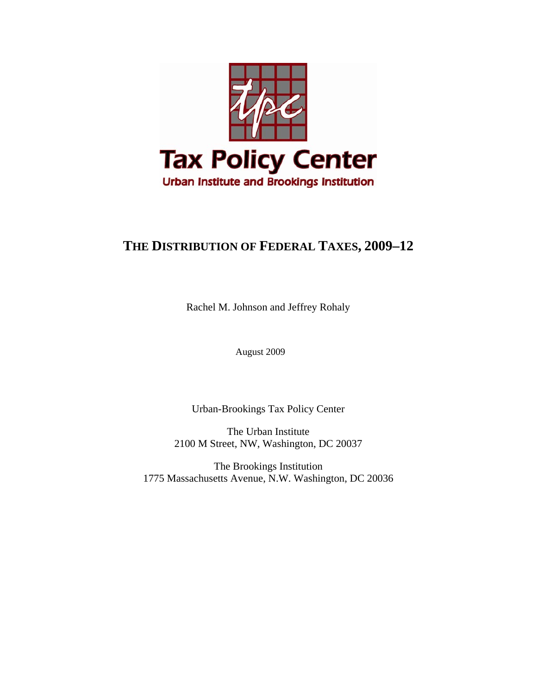

# **THE DISTRIBUTION OF FEDERAL TAXES, 2009–12**

Rachel M. Johnson and Jeffrey Rohaly

August 2009

Urban-Brookings Tax Policy Center

The Urban Institute 2100 M Street, NW, Washington, DC 20037

The Brookings Institution 1775 Massachusetts Avenue, N.W. Washington, DC 20036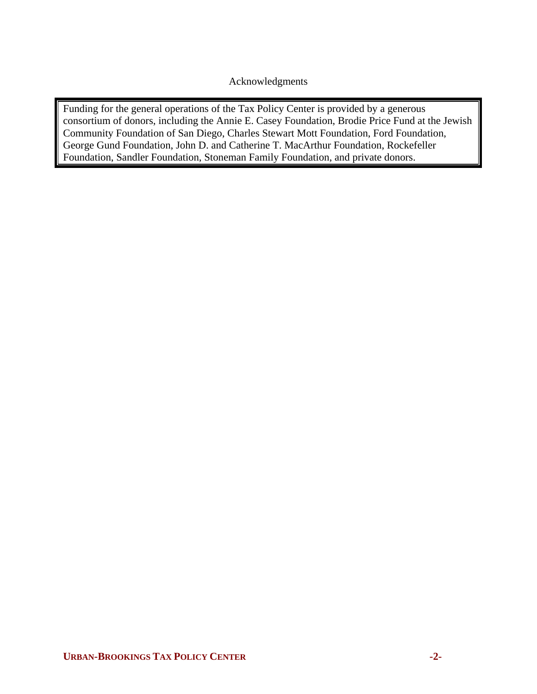Acknowledgments

Funding for the general operations of the Tax Policy Center is provided by a generous consortium of donors, including the Annie E. Casey Foundation, Brodie Price Fund at the Jewish Community Foundation of San Diego, Charles Stewart Mott Foundation, Ford Foundation, George Gund Foundation, John D. and Catherine T. MacArthur Foundation, Rockefeller Foundation, Sandler Foundation, Stoneman Family Foundation, and private donors.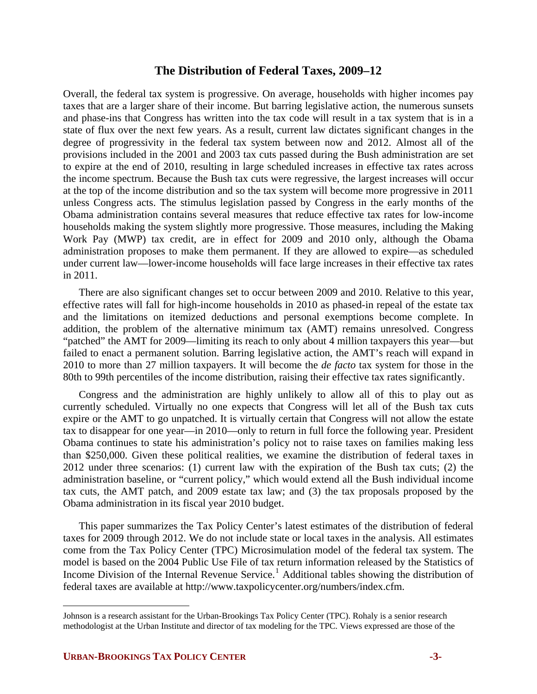# **The Distribution of Federal Taxes, 2009–12**

Overall, the federal tax system is progressive. On average, households with higher incomes pay taxes that are a larger share of their income. But barring legislative action, the numerous sunsets and phase-ins that Congress has written into the tax code will result in a tax system that is in a state of flux over the next few years. As a result, current law dictates significant changes in the degree of progressivity in the federal tax system between now and 2012. Almost all of the provisions included in the 2001 and 2003 tax cuts passed during the Bush administration are set to expire at the end of 2010, resulting in large scheduled increases in effective tax rates across the income spectrum. Because the Bush tax cuts were regressive, the largest increases will occur at the top of the income distribution and so the tax system will become more progressive in 2011 unless Congress acts. The stimulus legislation passed by Congress in the early months of the Obama administration contains several measures that reduce effective tax rates for low-income households making the system slightly more progressive. Those measures, including the Making Work Pay (MWP) tax credit, are in effect for 2009 and 2010 only, although the Obama administration proposes to make them permanent. If they are allowed to expire—as scheduled under current law—lower-income households will face large increases in their effective tax rates in 2011.

There are also significant changes set to occur between 2009 and 2010. Relative to this year, effective rates will fall for high-income households in 2010 as phased-in repeal of the estate tax and the limitations on itemized deductions and personal exemptions become complete. In addition, the problem of the alternative minimum tax (AMT) remains unresolved. Congress "patched" the AMT for 2009—limiting its reach to only about 4 million taxpayers this year—but failed to enact a permanent solution. Barring legislative action, the AMT's reach will expand in 2010 to more than 27 million taxpayers. It will become the *de facto* tax system for those in the 80th to 99th percentiles of the income distribution, raising their effective tax rates significantly.

Congress and the administration are highly unlikely to allow all of this to play out as currently scheduled. Virtually no one expects that Congress will let all of the Bush tax cuts expire or the AMT to go unpatched. It is virtually certain that Congress will not allow the estate tax to disappear for one year—in 2010—only to return in full force the following year. President Obama continues to state his administration's policy not to raise taxes on families making less than \$250,000. Given these political realities, we examine the distribution of federal taxes in 2012 under three scenarios: (1) current law with the expiration of the Bush tax cuts; (2) the administration baseline, or "current policy," which would extend all the Bush individual income tax cuts, the AMT patch, and 2009 estate tax law; and (3) the tax proposals proposed by the Obama administration in its fiscal year 2010 budget.

This paper summarizes the Tax Policy Center's latest estimates of the distribution of federal taxes for 2009 through 2012. We do not include state or local taxes in the analysis. All estimates come from the Tax Policy Center (TPC) Microsimulation model of the federal tax system. The model is based on the 2004 Public Use File of tax return information released by the Statistics of Income Division of the Internal Revenue Service.<sup>[1](#page-2-0)</sup> Additional tables showing the distribution of federal taxes are available at http://www.taxpolicycenter.org/numbers/index.cfm.

 $\overline{a}$ 

<span id="page-2-0"></span>Johnson is a research assistant for the Urban-Brookings Tax Policy Center (TPC). Rohaly is a senior research methodologist at the Urban Institute and director of tax modeling for the TPC. Views expressed are those of the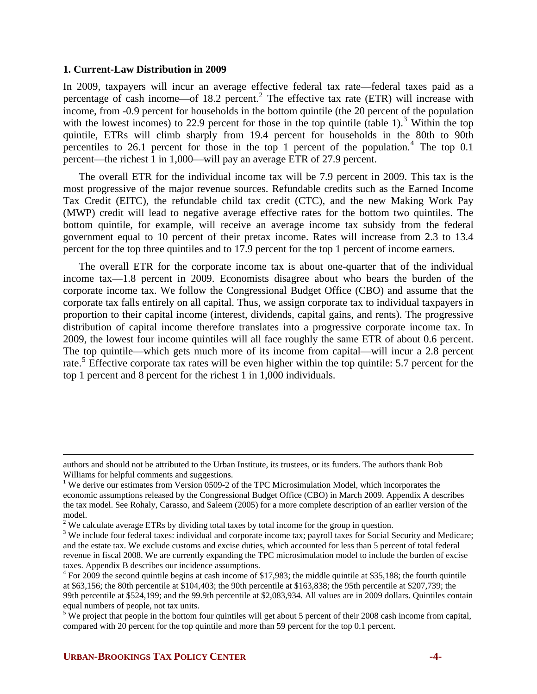### **1. Current-Law Distribution in 2009**

In 2009, taxpayers will incur an average effective federal tax rate—federal taxes paid as a percentage of cash income—of 18.[2](#page-3-0) percent.<sup>2</sup> The effective tax rate (ETR) will increase with income, from -0.9 percent for households in the bottom quintile (the 20 percent of the population with the lowest incomes) to 22.9 percent for those in the top quintile (table 1).<sup>[3](#page-3-1)</sup> Within the top quintile, ETRs will climb sharply from 19.4 percent for households in the 80th to 90th percentiles to 26.1 percent for those in the top 1 percent of the population.<sup>[4](#page-3-2)</sup> The top  $0.1$ percent—the richest 1 in 1,000—will pay an average ETR of 27.9 percent.

The overall ETR for the individual income tax will be 7.9 percent in 2009. This tax is the most progressive of the major revenue sources. Refundable credits such as the Earned Income Tax Credit (EITC), the refundable child tax credit (CTC), and the new Making Work Pay (MWP) credit will lead to negative average effective rates for the bottom two quintiles. The bottom quintile, for example, will receive an average income tax subsidy from the federal government equal to 10 percent of their pretax income. Rates will increase from 2.3 to 13.4 percent for the top three quintiles and to 17.9 percent for the top 1 percent of income earners.

The overall ETR for the corporate income tax is about one-quarter that of the individual income tax—1.8 percent in 2009. Economists disagree about who bears the burden of the corporate income tax. We follow the Congressional Budget Office (CBO) and assume that the corporate tax falls entirely on all capital. Thus, we assign corporate tax to individual taxpayers in proportion to their capital income (interest, dividends, capital gains, and rents). The progressive distribution of capital income therefore translates into a progressive corporate income tax. In 2009, the lowest four income quintiles will all face roughly the same ETR of about 0.6 percent. The top quintile—which gets much more of its income from capital—will incur a 2.8 percent rate.<sup>[5](#page-3-3)</sup> Effective corporate tax rates will be even higher within the top quintile: 5.7 percent for the top 1 percent and 8 percent for the richest 1 in 1,000 individuals.

 $\overline{a}$ 

authors and should not be attributed to the Urban Institute, its trustees, or its funders. The authors thank Bob Williams for helpful comments and suggestions.

<sup>&</sup>lt;sup>1</sup> We derive our estimates from Version 0509-2 of the TPC Microsimulation Model, which incorporates the economic assumptions released by the Congressional Budget Office (CBO) in March 2009. Appendix A describes the tax model. See Rohaly, Carasso, and Saleem (2005) for a more complete description of an earlier version of the model.

<sup>&</sup>lt;sup>2</sup> We calculate average ETRs by dividing total taxes by total income for the group in question.<br><sup>3</sup> We include four federal taxes: individual and correcte income tax; payrall taxes for Social S

<span id="page-3-1"></span><span id="page-3-0"></span><sup>&</sup>lt;sup>3</sup> We include four federal taxes: individual and corporate income tax; payroll taxes for Social Security and Medicare; and the estate tax. We exclude customs and excise duties, which accounted for less than 5 percent of total federal revenue in fiscal 2008. We are currently expanding the TPC microsimulation model to include the burden of excise taxes. Appendix B describes our incidence assumptions.

<span id="page-3-2"></span><sup>&</sup>lt;sup>4</sup> For 2009 the second quintile begins at cash income of \$17,983; the middle quintile at \$35,188; the fourth quintile at \$63,156; the 80th percentile at \$104,403; the 90th percentile at \$163,838; the 95th percentile at \$207,739; the 99th percentile at \$524,199; and the 99.9th percentile at \$2,083,934. All values are in 2009 dollars. Quintiles contain equal numbers of people, not tax units.

<span id="page-3-3"></span> $5 \text{ We project that people in the bottom four quintiles will get about 5 percent of their 2008 cash income from capital, }$ compared with 20 percent for the top quintile and more than 59 percent for the top 0.1 percent.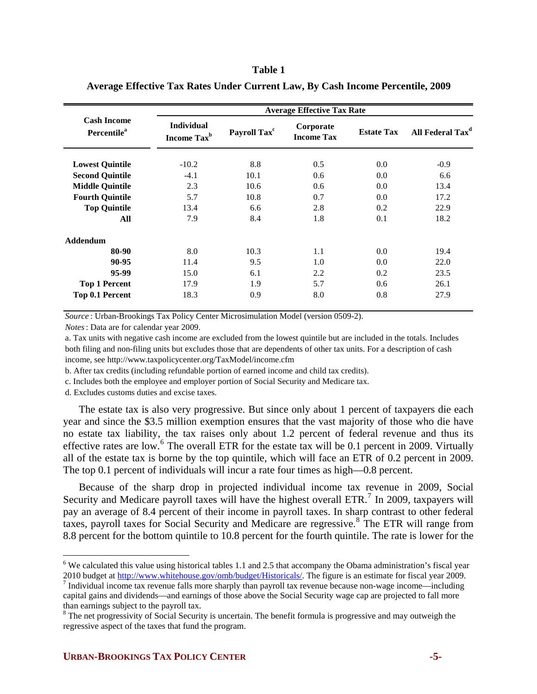### **Table 1**

|                                               |                                              |                          | <b>Average Effective Tax Rate</b> |                   |                              |
|-----------------------------------------------|----------------------------------------------|--------------------------|-----------------------------------|-------------------|------------------------------|
| <b>Cash Income</b><br>Percentile <sup>a</sup> | <b>Individual</b><br>Income Tax <sup>b</sup> | Payroll Tax <sup>c</sup> | Corporate<br><b>Income Tax</b>    | <b>Estate Tax</b> | All Federal Tax <sup>d</sup> |
| <b>Lowest Quintile</b>                        | $-10.2$                                      | 8.8                      | 0.5                               | 0.0               | $-0.9$                       |
| <b>Second Quintile</b>                        | $-4.1$                                       | 10.1                     | $0.6^{\circ}$                     | 0.0               | 6.6                          |
| <b>Middle Quintile</b>                        | 2.3                                          | 10.6                     | 0.6                               | 0.0               | 13.4                         |
| <b>Fourth Quintile</b>                        | 5.7                                          | 10.8                     | 0.7                               | 0.0               | 17.2                         |
| <b>Top Quintile</b>                           | 13.4                                         | 6.6                      | 2.8                               | 0.2               | 22.9                         |
| All                                           | 7.9                                          | 8.4                      | 1.8                               | 0.1               | 18.2                         |
| <b>Addendum</b>                               |                                              |                          |                                   |                   |                              |
| 80-90                                         | 8.0                                          | 10.3                     | 1.1                               | 0.0               | 19.4                         |
| 90-95                                         | 11.4                                         | 9.5                      | 1.0                               | 0.0               | 22.0                         |
| 95-99                                         | 15.0                                         | 6.1                      | 2.2                               | 0.2               | 23.5                         |
| <b>Top 1 Percent</b>                          | 17.9                                         | 1.9                      | 5.7                               | 0.6               | 26.1                         |
| Top 0.1 Percent                               | 18.3                                         | 0.9                      | 8.0                               | 0.8               | 27.9                         |

**Average Effective Tax Rates Under Current Law, By Cash Income Percentile, 2009**

*Source* : Urban-Brookings Tax Policy Center Microsimulation Model (version 0509-2).

*Notes*: Data are for calendar year 2009.

a. Tax units with negative cash income are excluded from the lowest quintile but are included in the totals. Includes both filing and non-filing units but excludes those that are dependents of other tax units. For a description of cash income, see http://www.taxpolicycenter.org/TaxModel/income.cfm

b. After tax credits (including refundable portion of earned income and child tax credits).

c. Includes both the employee and employer portion of Social Security and Medicare tax.

d. Excludes customs duties and excise taxes.

<u>.</u>

The estate tax is also very progressive. But since only about 1 percent of taxpayers die each year and since the \$3.5 million exemption ensures that the vast majority of those who die have no estate tax liability, the tax raises only about 1.2 percent of federal revenue and thus its effective rates are low.<sup>[6](#page-4-0)</sup> The overall ETR for the estate tax will be 0.1 percent in 2009. Virtually all of the estate tax is borne by the top quintile, which will face an ETR of 0.2 percent in 2009. The top 0.1 percent of individuals will incur a rate four times as high—0.8 percent.

Because of the sharp drop in projected individual income tax revenue in 2009, Social Security and Medicare payroll taxes will have the highest overall ETR.<sup>[7](#page-4-1)</sup> In 2009, taxpayers will pay an average of 8.4 percent of their income in payroll taxes. In sharp contrast to other federal taxes, payroll taxes for Social Security and Medicare are regressive.<sup>[8](#page-4-2)</sup> The ETR will range from 8.8 percent for the bottom quintile to 10.8 percent for the fourth quintile. The rate is lower for the

<span id="page-4-0"></span> $6$  We calculated this value using historical tables 1.1 and 2.5 that accompany the Obama administration's fiscal year 2010 budget at [http://www.whitehouse.gov/omb/budget/Historicals/.](http://www.whitehouse.gov/omb/budget/Historicals/) The figure is an estimate for fiscal year 2009.

<span id="page-4-1"></span> $\frac{7}{1}$  Individual income tax revenue falls more sharply than payroll tax revenue because non-wage income—including capital gains and dividends—and earnings of those above the Social Security wage cap are projected to fall more than earnings subject to the payroll tax.

<span id="page-4-2"></span> $8$  The net progressivity of Social Security is uncertain. The benefit formula is progressive and may outweigh the regressive aspect of the taxes that fund the program.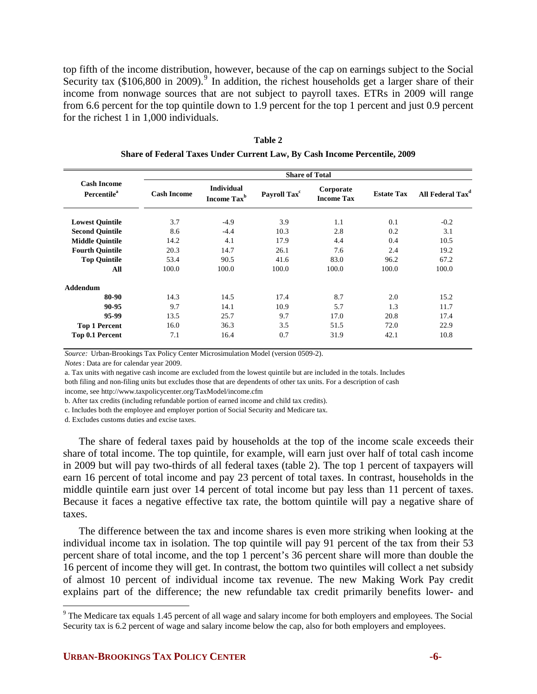top fifth of the income distribution, however, because of the cap on earnings subject to the Social Security tax  $(\$106,800$  in 200[9](#page-5-0)).<sup>9</sup> In addition, the richest households get a larger share of their income from nonwage sources that are not subject to payroll taxes. ETRs in 2009 will range from 6.6 percent for the top quintile down to 1.9 percent for the top 1 percent and just 0.9 percent for the richest 1 in 1,000 individuals.

|                                                      | <b>Share of Total</b> |                                              |                          |                                |                   |                              |  |  |  |
|------------------------------------------------------|-----------------------|----------------------------------------------|--------------------------|--------------------------------|-------------------|------------------------------|--|--|--|
| <b>Cash Income</b><br><b>Percentile</b> <sup>a</sup> | <b>Cash Income</b>    | <b>Individual</b><br>Income Tax <sup>b</sup> | Payroll Tax <sup>c</sup> | Corporate<br><b>Income Tax</b> | <b>Estate Tax</b> | All Federal Tax <sup>d</sup> |  |  |  |
| <b>Lowest Quintile</b>                               | 3.7                   | $-4.9$                                       | 3.9                      | 1.1                            | 0.1               | $-0.2$                       |  |  |  |
| <b>Second Quintile</b>                               | 8.6                   | $-4.4$                                       | 10.3                     | 2.8                            | 0.2               | 3.1                          |  |  |  |
| <b>Middle Ouintile</b>                               | 14.2                  | 4.1                                          | 17.9                     | 4.4                            | 0.4               | 10.5                         |  |  |  |
| <b>Fourth Quintile</b>                               | 20.3                  | 14.7                                         | 26.1                     | 7.6                            | 2.4               | 19.2                         |  |  |  |
| <b>Top Quintile</b>                                  | 53.4                  | 90.5                                         | 41.6                     | 83.0                           | 96.2              | 67.2                         |  |  |  |
| All                                                  | 100.0                 | 100.0                                        | 100.0                    | 100.0                          | 100.0             | 100.0                        |  |  |  |
| Addendum                                             |                       |                                              |                          |                                |                   |                              |  |  |  |
| 80-90                                                | 14.3                  | 14.5                                         | 17.4                     | 8.7                            | 2.0               | 15.2                         |  |  |  |
| 90-95                                                | 9.7                   | 14.1                                         | 10.9                     | 5.7                            | 1.3               | 11.7                         |  |  |  |
| 95-99                                                | 13.5                  | 25.7                                         | 9.7                      | 17.0                           | 20.8              | 17.4                         |  |  |  |
| <b>Top 1 Percent</b>                                 | 16.0                  | 36.3                                         | 3.5                      | 51.5                           | 72.0              | 22.9                         |  |  |  |
| Top 0.1 Percent                                      | 7.1                   | 16.4                                         | 0.7                      | 31.9                           | 42.1              | 10.8                         |  |  |  |
|                                                      |                       |                                              |                          |                                |                   |                              |  |  |  |

**Table 2 Share of Federal Taxes Under Current Law, By Cash Income Percentile, 2009**

*Source:* Urban-Brookings Tax Policy Center Microsimulation Model (version 0509-2).

*Notes*: Data are for calendar year 2009.

a. Tax units with negative cash income are excluded from the lowest quintile but are included in the totals. Includes both filing and non-filing units but excludes those that are dependents of other tax units. For a description of cash income, see http://www.taxpolicycenter.org/TaxModel/income.cfm

b. After tax credits (including refundable portion of earned income and child tax credits).

c. Includes both the employee and employer portion of Social Security and Medicare tax.

d. Excludes customs duties and excise taxes.

The share of federal taxes paid by households at the top of the income scale exceeds their share of total income. The top quintile, for example, will earn just over half of total cash income in 2009 but will pay two-thirds of all federal taxes (table 2). The top 1 percent of taxpayers will earn 16 percent of total income and pay 23 percent of total taxes. In contrast, households in the middle quintile earn just over 14 percent of total income but pay less than 11 percent of taxes. Because it faces a negative effective tax rate, the bottom quintile will pay a negative share of taxes.

The difference between the tax and income shares is even more striking when looking at the individual income tax in isolation. The top quintile will pay 91 percent of the tax from their 53 percent share of total income, and the top 1 percent's 36 percent share will more than double the 16 percent of income they will get. In contrast, the bottom two quintiles will collect a net subsidy of almost 10 percent of individual income tax revenue. The new Making Work Pay credit explains part of the difference; the new refundable tax credit primarily benefits lower- and

<span id="page-5-0"></span>The Medicare tax equals 1.45 percent of all wage and salary income for both employers and employees. The Social<br><sup>9</sup> The Medicare tax equals 1.45 percent of all wage and salary income for both employers and employees. The S Security tax is 6.2 percent of wage and salary income below the cap, also for both employers and employees.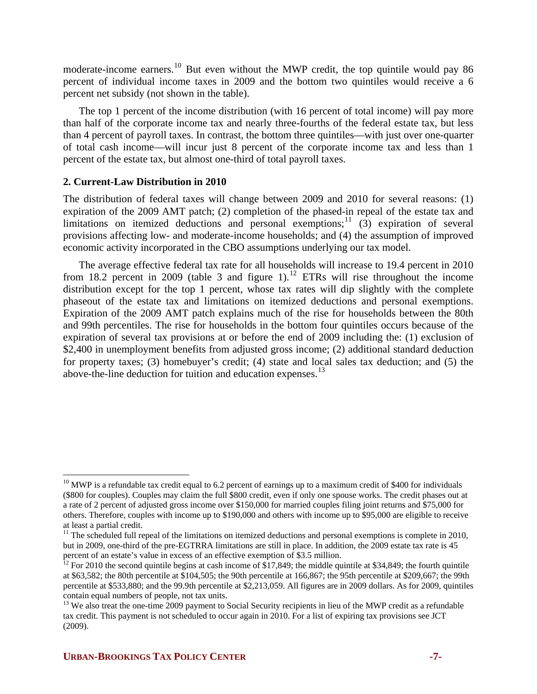moderate-income earners.<sup>[10](#page-6-0)</sup> But even without the MWP credit, the top quintile would pay 86 percent of individual income taxes in 2009 and the bottom two quintiles would receive a 6 percent net subsidy (not shown in the table).

The top 1 percent of the income distribution (with 16 percent of total income) will pay more than half of the corporate income tax and nearly three-fourths of the federal estate tax, but less than 4 percent of payroll taxes. In contrast, the bottom three quintiles—with just over one-quarter of total cash income—will incur just 8 percent of the corporate income tax and less than 1 percent of the estate tax, but almost one-third of total payroll taxes.

# **2. Current-Law Distribution in 2010**

The distribution of federal taxes will change between 2009 and 2010 for several reasons: (1) expiration of the 2009 AMT patch; (2) completion of the phased-in repeal of the estate tax and limitations on itemized deductions and personal exemptions;  $\frac{11}{3}$  $\frac{11}{3}$  $\frac{11}{3}$  (3) expiration of several provisions affecting low- and moderate-income households; and (4) the assumption of improved economic activity incorporated in the CBO assumptions underlying our tax model.

The average effective federal tax rate for all households will increase to 19.4 percent in 2010 from 18.2 percent in 2009 (table 3 and figure 1).<sup>[12](#page-6-2)</sup> ETRs will rise throughout the income distribution except for the top 1 percent, whose tax rates will dip slightly with the complete phaseout of the estate tax and limitations on itemized deductions and personal exemptions. Expiration of the 2009 AMT patch explains much of the rise for households between the 80th and 99th percentiles. The rise for households in the bottom four quintiles occurs because of the expiration of several tax provisions at or before the end of 2009 including the: (1) exclusion of \$2,400 in unemployment benefits from adjusted gross income; (2) additional standard deduction for property taxes; (3) homebuyer's credit; (4) state and local sales tax deduction; and (5) the above-the-line deduction for tuition and education expenses.<sup>[13](#page-6-3)</sup>

 $\overline{a}$ 

<span id="page-6-0"></span> $10$  MWP is a refundable tax credit equal to 6.2 percent of earnings up to a maximum credit of \$400 for individuals (\$800 for couples). Couples may claim the full \$800 credit, even if only one spouse works. The credit phases out at a rate of 2 percent of adjusted gross income over \$150,000 for married couples filing joint returns and \$75,000 for others. Therefore, couples with income up to \$190,000 and others with income up to \$95,000 are eligible to receive at least a partial credit.

<span id="page-6-1"></span> $11$  The scheduled full repeal of the limitations on itemized deductions and personal exemptions is complete in 2010, but in 2009, one-third of the pre-EGTRRA limitations are still in place. In addition, the 2009 estate tax rate is 45 percent of an estate's value in excess of an effective exemption of \$3.5 million.

<span id="page-6-2"></span><sup>&</sup>lt;sup>12</sup> For 2010 the second quintile begins at cash income of  $\hat{\$17,849}$ ; the middle quintile at \$34,849; the fourth quintile at \$63,582; the 80th percentile at \$104,505; the 90th percentile at 166,867; the 95th percentile at \$209,667; the 99th percentile at \$533,880; and the 99.9th percentile at \$2,213,059. All figures are in 2009 dollars. As for 2009, quintiles contain equal numbers of people, not tax units.

<span id="page-6-3"></span><sup>&</sup>lt;sup>13</sup> We also treat the one-time 2009 payment to Social Security recipients in lieu of the MWP credit as a refundable tax credit. This payment is not scheduled to occur again in 2010. For a list of expiring tax provisions see JCT (2009).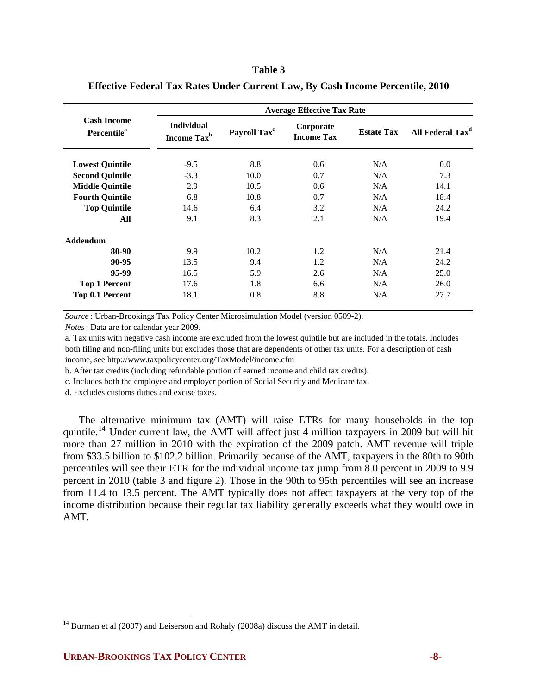#### **Table 3**

|                                               |                                              |                          | <b>Average Effective Tax Rate</b> |                   |                              |
|-----------------------------------------------|----------------------------------------------|--------------------------|-----------------------------------|-------------------|------------------------------|
| <b>Cash Income</b><br>Percentile <sup>a</sup> | <b>Individual</b><br>Income Tax <sup>b</sup> | Payroll Tax <sup>c</sup> | Corporate<br><b>Income Tax</b>    | <b>Estate Tax</b> | All Federal Tax <sup>d</sup> |
| <b>Lowest Quintile</b>                        | $-9.5$                                       | 8.8                      | $0.6^{\circ}$                     | N/A               | 0.0                          |
| <b>Second Quintile</b>                        | $-3.3$                                       | 10.0                     | 0.7                               | N/A               | 7.3                          |
| <b>Middle Quintile</b>                        | 2.9                                          | 10.5                     | 0.6                               | N/A               | 14.1                         |
| <b>Fourth Quintile</b>                        | 6.8                                          | 10.8                     | 0.7                               | N/A               | 18.4                         |
| <b>Top Quintile</b>                           | 14.6                                         | 6.4                      | 3.2                               | N/A               | 24.2                         |
| All                                           | 9.1                                          | 8.3                      | 2.1                               | N/A               | 19.4                         |
| <b>Addendum</b>                               |                                              |                          |                                   |                   |                              |
| 80-90                                         | 9.9                                          | 10.2                     | 1.2                               | N/A               | 21.4                         |
| 90-95                                         | 13.5                                         | 9.4                      | 1.2                               | N/A               | 24.2                         |
| 95-99                                         | 16.5                                         | 5.9                      | 2.6                               | N/A               | 25.0                         |
| <b>Top 1 Percent</b>                          | 17.6                                         | 1.8                      | 6.6                               | N/A               | 26.0                         |
| Top 0.1 Percent                               | 18.1                                         | 0.8                      | 8.8                               | N/A               | 27.7                         |

#### **Effective Federal Tax Rates Under Current Law, By Cash Income Percentile, 2010**

*Source* : Urban-Brookings Tax Policy Center Microsimulation Model (version 0509-2).

*Notes*: Data are for calendar year 2009.

a. Tax units with negative cash income are excluded from the lowest quintile but are included in the totals. Includes both filing and non-filing units but excludes those that are dependents of other tax units. For a description of cash income, see http://www.taxpolicycenter.org/TaxModel/income.cfm

b. After tax credits (including refundable portion of earned income and child tax credits).

c. Includes both the employee and employer portion of Social Security and Medicare tax.

d. Excludes customs duties and excise taxes.

The alternative minimum tax (AMT) will raise ETRs for many households in the top quintile.<sup>[14](#page-7-0)</sup> Under current law, the AMT will affect just 4 million taxpayers in 2009 but will hit more than 27 million in 2010 with the expiration of the 2009 patch. AMT revenue will triple from \$33.5 billion to \$102.2 billion. Primarily because of the AMT, taxpayers in the 80th to 90th percentiles will see their ETR for the individual income tax jump from 8.0 percent in 2009 to 9.9 percent in 2010 (table 3 and figure 2). Those in the 90th to 95th percentiles will see an increase from 11.4 to 13.5 percent. The AMT typically does not affect taxpayers at the very top of the income distribution because their regular tax liability generally exceeds what they would owe in AMT.

<u>.</u>

<span id="page-7-0"></span> $14$  Burman et al (2007) and Leiserson and Rohaly (2008a) discuss the AMT in detail.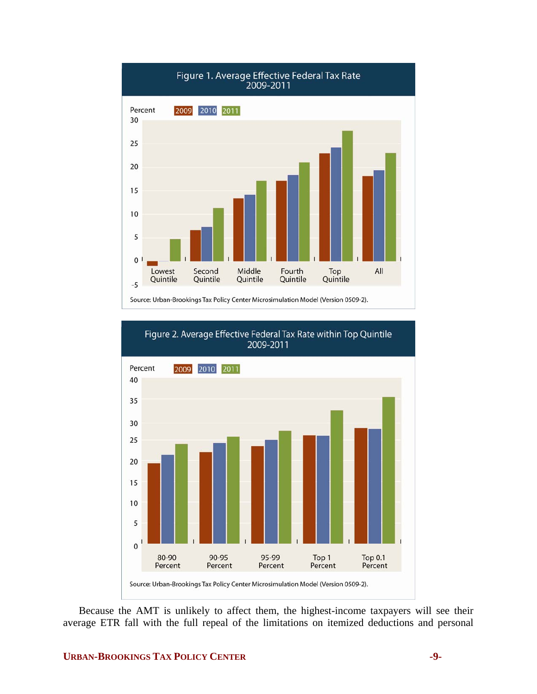



Because the AMT is unlikely to affect them, the highest-income taxpayers will see their average ETR fall with the full repeal of the limitations on itemized deductions and personal

# **URBAN-BROOKINGS TAX POLICY CENTER 49-**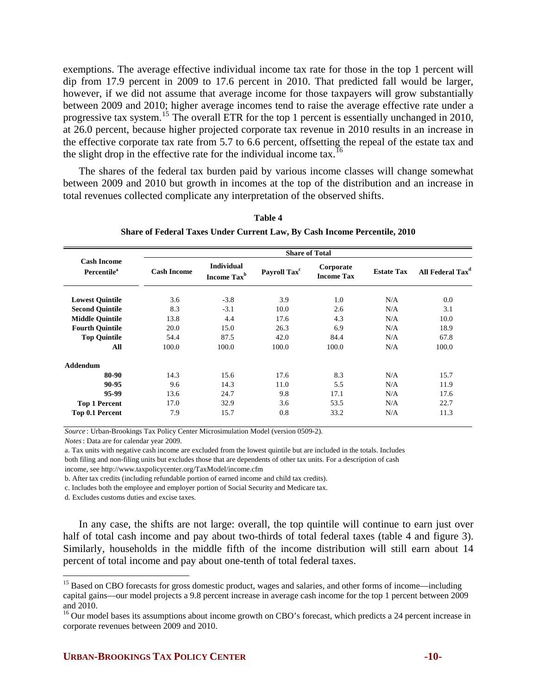exemptions. The average effective individual income tax rate for those in the top 1 percent will dip from 17.9 percent in 2009 to 17.6 percent in 2010. That predicted fall would be larger, however, if we did not assume that average income for those taxpayers will grow substantially between 2009 and 2010; higher average incomes tend to raise the average effective rate under a progressive tax system.[15](#page-9-0) The overall ETR for the top 1 percent is essentially unchanged in 2010, at 26.0 percent, because higher projected corporate tax revenue in 2010 results in an increase in the effective corporate tax rate from 5.7 to 6.6 percent, offsetting the repeal of the estate tax and the slight drop in the effective rate for the individual income tax.<sup>[16](#page-9-1)</sup>

The shares of the federal tax burden paid by various income classes will change somewhat between 2009 and 2010 but growth in incomes at the top of the distribution and an increase in total revenues collected complicate any interpretation of the observed shifts.

|                                                      |                    | <b>Share of Total</b>                        |                          |                                |                   |                              |  |  |  |  |
|------------------------------------------------------|--------------------|----------------------------------------------|--------------------------|--------------------------------|-------------------|------------------------------|--|--|--|--|
| <b>Cash Income</b><br><b>Percentile</b> <sup>a</sup> | <b>Cash Income</b> | <b>Individual</b><br>Income Tax <sup>b</sup> | Payroll Tax <sup>c</sup> | Corporate<br><b>Income Tax</b> | <b>Estate Tax</b> | All Federal Tax <sup>d</sup> |  |  |  |  |
| <b>Lowest Quintile</b>                               | 3.6                | $-3.8$                                       | 3.9                      | 1.0                            | N/A               | 0.0                          |  |  |  |  |
| <b>Second Quintile</b>                               | 8.3                | $-3.1$                                       | 10.0                     | 2.6                            | N/A               | 3.1                          |  |  |  |  |
| <b>Middle Quintile</b>                               | 13.8               | 4.4                                          | 17.6                     | 4.3                            | N/A               | 10.0                         |  |  |  |  |
| <b>Fourth Quintile</b>                               | 20.0               | 15.0                                         | 26.3                     | 6.9                            | N/A               | 18.9                         |  |  |  |  |
| <b>Top Quintile</b>                                  | 54.4               | 87.5                                         | 42.0                     | 84.4                           | N/A               | 67.8                         |  |  |  |  |
| All                                                  | 100.0              | 100.0                                        | 100.0                    | 100.0                          | N/A               | 100.0                        |  |  |  |  |
| Addendum                                             |                    |                                              |                          |                                |                   |                              |  |  |  |  |
| 80-90                                                | 14.3               | 15.6                                         | 17.6                     | 8.3                            | N/A               | 15.7                         |  |  |  |  |
| 90-95                                                | 9.6                | 14.3                                         | 11.0                     | 5.5                            | N/A               | 11.9                         |  |  |  |  |
| 95-99                                                | 13.6               | 24.7                                         | 9.8                      | 17.1                           | N/A               | 17.6                         |  |  |  |  |
| <b>Top 1 Percent</b>                                 | 17.0               | 32.9                                         | 3.6                      | 53.5                           | N/A               | 22.7                         |  |  |  |  |
| Top 0.1 Percent                                      | 7.9                | 15.7                                         | 0.8                      | 33.2                           | N/A               | 11.3                         |  |  |  |  |

**Table 4 Share of Federal Taxes Under Current Law, By Cash Income Percentile, 2010**

*Source* : Urban-Brookings Tax Policy Center Microsimulation Model (version 0509-2).

*Notes*: Data are for calendar year 2009.

a. Tax units with negative cash income are excluded from the lowest quintile but are included in the totals. Includes both filing and non-filing units but excludes those that are dependents of other tax units. For a description of cash

income, see http://www.taxpolicycenter.org/TaxModel/income.cfm

b. After tax credits (including refundable portion of earned income and child tax credits).

c. Includes both the employee and employer portion of Social Security and Medicare tax.

d. Excludes customs duties and excise taxes.

1

In any case, the shifts are not large: overall, the top quintile will continue to earn just over half of total cash income and pay about two-thirds of total federal taxes (table 4 and figure 3). Similarly, households in the middle fifth of the income distribution will still earn about 14 percent of total income and pay about one-tenth of total federal taxes.

<span id="page-9-0"></span><sup>&</sup>lt;sup>15</sup> Based on CBO forecasts for gross domestic product, wages and salaries, and other forms of income—including capital gains—our model projects a 9.8 percent increase in average cash income for the top 1 percent between 2009 and 2010.

<span id="page-9-1"></span><sup>&</sup>lt;sup>16</sup> Our model bases its assumptions about income growth on CBO's forecast, which predicts a 24 percent increase in corporate revenues between 2009 and 2010.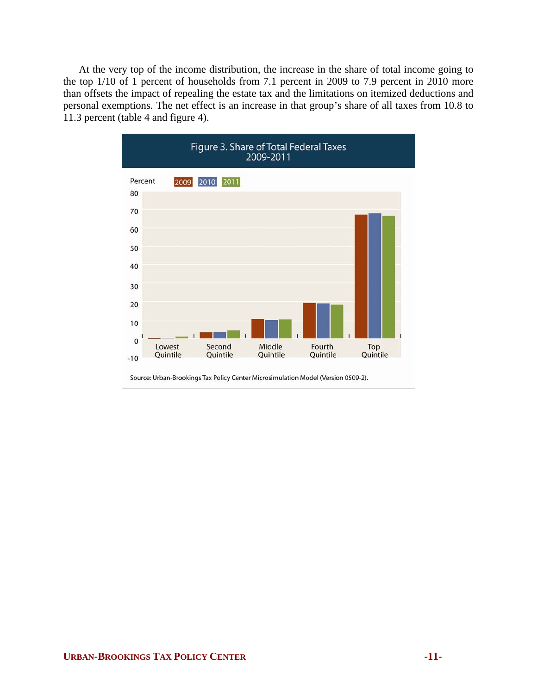At the very top of the income distribution, the increase in the share of total income going to the top 1/10 of 1 percent of households from 7.1 percent in 2009 to 7.9 percent in 2010 more than offsets the impact of repealing the estate tax and the limitations on itemized deductions and personal exemptions. The net effect is an increase in that group's share of all taxes from 10.8 to 11.3 percent (table 4 and figure 4).

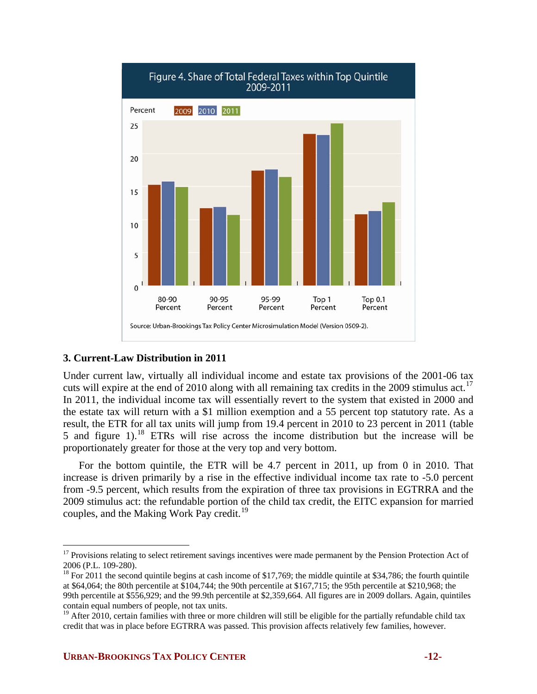

# **3. Current-Law Distribution in 2011**

Under current law, virtually all individual income and estate tax provisions of the 2001-06 tax cuts will expire at the end of 2010 along with all remaining tax credits in the 2009 stimulus act.<sup>[17](#page-11-0)</sup> In 2011, the individual income tax will essentially revert to the system that existed in 2000 and the estate tax will return with a \$1 million exemption and a 55 percent top statutory rate. As a result, the ETR for all tax units will jump from 19.4 percent in 2010 to 23 percent in 2011 (table 5 and figure 1).[18](#page-11-1) ETRs will rise across the income distribution but the increase will be proportionately greater for those at the very top and very bottom.

For the bottom quintile, the ETR will be 4.7 percent in 2011, up from 0 in 2010. That increase is driven primarily by a rise in the effective individual income tax rate to -5.0 percent from -9.5 percent, which results from the expiration of three tax provisions in EGTRRA and the 2009 stimulus act: the refundable portion of the child tax credit, the EITC expansion for married couples, and the Making Work Pay credit.<sup>[19](#page-11-2)</sup>

 $\overline{a}$ 

<span id="page-11-0"></span><sup>&</sup>lt;sup>17</sup> Provisions relating to select retirement savings incentives were made permanent by the Pension Protection Act of 2006 (P.L. 109-280).

<span id="page-11-1"></span> $18$  For 2011 the second quintile begins at cash income of \$17,769; the middle quintile at \$34,786; the fourth quintile at \$64,064; the 80th percentile at \$104,744; the 90th percentile at \$167,715; the 95th percentile at \$210,968; the 99th percentile at \$556,929; and the 99.9th percentile at \$2,359,664. All figures are in 2009 dollars. Again, quintiles contain equal numbers of people, not tax units.

<span id="page-11-2"></span> $19$  After 2010, certain families with three or more children will still be eligible for the partially refundable child tax credit that was in place before EGTRRA was passed. This provision affects relatively few families, however.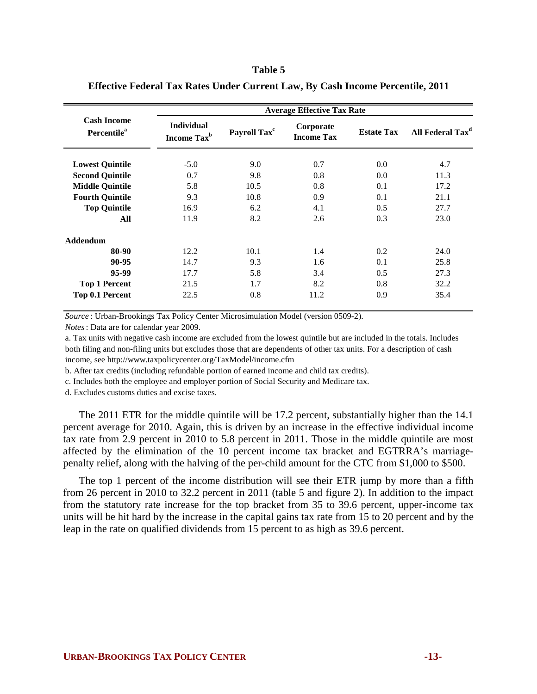#### **Table 5**

|                                               |                                              |                          | <b>Average Effective Tax Rate</b> |                   |                              |
|-----------------------------------------------|----------------------------------------------|--------------------------|-----------------------------------|-------------------|------------------------------|
| <b>Cash Income</b><br>Percentile <sup>a</sup> | <b>Individual</b><br>Income Tax <sup>b</sup> | Payroll Tax <sup>c</sup> | Corporate<br><b>Income Tax</b>    | <b>Estate Tax</b> | All Federal Tax <sup>d</sup> |
| <b>Lowest Quintile</b>                        | $-5.0$                                       | 9.0                      | 0.7                               | 0.0               | 4.7                          |
| <b>Second Quintile</b>                        | 0.7                                          | 9.8                      | 0.8                               | 0.0               | 11.3                         |
| <b>Middle Quintile</b>                        | 5.8                                          | 10.5                     | 0.8                               | 0.1               | 17.2                         |
| <b>Fourth Quintile</b>                        | 9.3                                          | 10.8                     | 0.9                               | 0.1               | 21.1                         |
| <b>Top Quintile</b>                           | 16.9                                         | 6.2                      | 4.1                               | 0.5               | 27.7                         |
| All                                           | 11.9                                         | 8.2                      | 2.6                               | 0.3               | 23.0                         |
| <b>Addendum</b>                               |                                              |                          |                                   |                   |                              |
| 80-90                                         | 12.2                                         | 10.1                     | 1.4                               | 0.2               | 24.0                         |
| 90-95                                         | 14.7                                         | 9.3                      | 1.6                               | 0.1               | 25.8                         |
| 95-99                                         | 17.7                                         | 5.8                      | 3.4                               | 0.5               | 27.3                         |
| <b>Top 1 Percent</b>                          | 21.5                                         | 1.7                      | 8.2                               | 0.8               | 32.2                         |
| Top 0.1 Percent                               | 22.5                                         | 0.8                      | 11.2                              | 0.9               | 35.4                         |

#### **Effective Federal Tax Rates Under Current Law, By Cash Income Percentile, 2011**

*Source* : Urban-Brookings Tax Policy Center Microsimulation Model (version 0509-2).

*Notes*: Data are for calendar year 2009.

a. Tax units with negative cash income are excluded from the lowest quintile but are included in the totals. Includes both filing and non-filing units but excludes those that are dependents of other tax units. For a description of cash income, see http://www.taxpolicycenter.org/TaxModel/income.cfm

b. After tax credits (including refundable portion of earned income and child tax credits).

c. Includes both the employee and employer portion of Social Security and Medicare tax.

d. Excludes customs duties and excise taxes.

The 2011 ETR for the middle quintile will be 17.2 percent, substantially higher than the 14.1 percent average for 2010. Again, this is driven by an increase in the effective individual income tax rate from 2.9 percent in 2010 to 5.8 percent in 2011. Those in the middle quintile are most affected by the elimination of the 10 percent income tax bracket and EGTRRA's marriagepenalty relief, along with the halving of the per-child amount for the CTC from \$1,000 to \$500.

The top 1 percent of the income distribution will see their ETR jump by more than a fifth from 26 percent in 2010 to 32.2 percent in 2011 (table 5 and figure 2). In addition to the impact from the statutory rate increase for the top bracket from 35 to 39.6 percent, upper-income tax units will be hit hard by the increase in the capital gains tax rate from 15 to 20 percent and by the leap in the rate on qualified dividends from 15 percent to as high as 39.6 percent.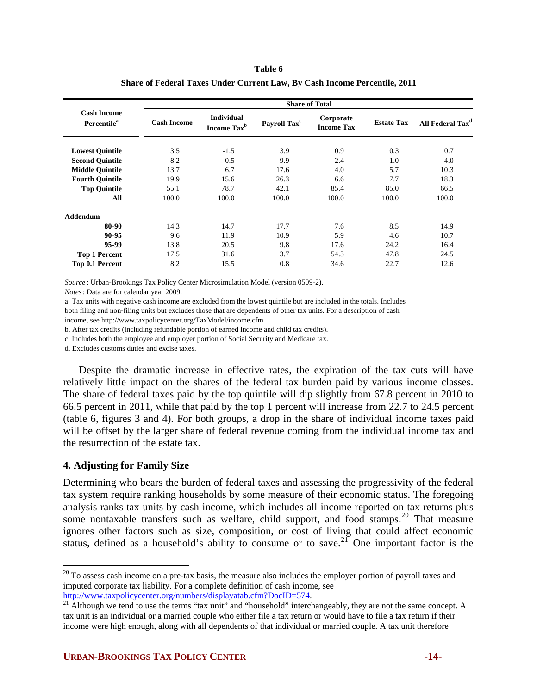| Table 6                                                                          |  |
|----------------------------------------------------------------------------------|--|
| <b>Share of Federal Taxes Under Current Law, By Cash Income Percentile, 2011</b> |  |

|                                                      |                    |                                              |                          | <b>Share of Total</b>          |                   |                              |
|------------------------------------------------------|--------------------|----------------------------------------------|--------------------------|--------------------------------|-------------------|------------------------------|
| <b>Cash Income</b><br><b>Percentile</b> <sup>a</sup> | <b>Cash Income</b> | <b>Individual</b><br>Income Tax <sup>b</sup> | Payroll Tax <sup>c</sup> | Corporate<br><b>Income Tax</b> | <b>Estate Tax</b> | All Federal Tax <sup>a</sup> |
| <b>Lowest Quintile</b>                               | 3.5                | $-1.5$                                       | 3.9                      | 0.9                            | 0.3               | 0.7                          |
| <b>Second Quintile</b>                               | 8.2                | 0.5                                          | 9.9                      | 2.4                            | 1.0               | 4.0                          |
| <b>Middle Quintile</b>                               | 13.7               | 6.7                                          | 17.6                     | 4.0                            | 5.7               | 10.3                         |
| <b>Fourth Quintile</b>                               | 19.9               | 15.6                                         | 26.3                     | 6.6                            | 7.7               | 18.3                         |
| <b>Top Quintile</b>                                  | 55.1               | 78.7                                         | 42.1                     | 85.4                           | 85.0              | 66.5                         |
| All                                                  | 100.0              | 100.0                                        | 100.0                    | 100.0                          | 100.0             | 100.0                        |
| Addendum                                             |                    |                                              |                          |                                |                   |                              |
| 80-90                                                | 14.3               | 14.7                                         | 17.7                     | 7.6                            | 8.5               | 14.9                         |
| 90-95                                                | 9.6                | 11.9                                         | 10.9                     | 5.9                            | 4.6               | 10.7                         |
| 95-99                                                | 13.8               | 20.5                                         | 9.8                      | 17.6                           | 24.2              | 16.4                         |
| <b>Top 1 Percent</b>                                 | 17.5               | 31.6                                         | 3.7                      | 54.3                           | 47.8              | 24.5                         |
| Top 0.1 Percent                                      | 8.2                | 15.5                                         | 0.8                      | 34.6                           | 22.7              | 12.6                         |

*Source* : Urban-Brookings Tax Policy Center Microsimulation Model (version 0509-2).

*Notes*: Data are for calendar year 2009.

a. Tax units with negative cash income are excluded from the lowest quintile but are included in the totals. Includes

both filing and non-filing units but excludes those that are dependents of other tax units. For a description of cash

income, see http://www.taxpolicycenter.org/TaxModel/income.cfm

b. After tax credits (including refundable portion of earned income and child tax credits).

c. Includes both the employee and employer portion of Social Security and Medicare tax.

d. Excludes customs duties and excise taxes.

Despite the dramatic increase in effective rates, the expiration of the tax cuts will have relatively little impact on the shares of the federal tax burden paid by various income classes. The share of federal taxes paid by the top quintile will dip slightly from 67.8 percent in 2010 to 66.5 percent in 2011, while that paid by the top 1 percent will increase from 22.7 to 24.5 percent (table 6, figures 3 and 4). For both groups, a drop in the share of individual income taxes paid will be offset by the larger share of federal revenue coming from the individual income tax and the resurrection of the estate tax.

## **4. Adjusting for Family Size**

 $\overline{a}$ 

Determining who bears the burden of federal taxes and assessing the progressivity of the federal tax system require ranking households by some measure of their economic status. The foregoing analysis ranks tax units by cash income, which includes all income reported on tax returns plus some nontaxable transfers such as welfare, child support, and food stamps.<sup>[20](#page-13-0)</sup> That measure ignores other factors such as size, composition, or cost of living that could affect economic status, defined as a household's ability to consume or to save.<sup>[21](#page-13-1)</sup> One important factor is the

<span id="page-13-0"></span> $20$  To assess cash income on a pre-tax basis, the measure also includes the employer portion of payroll taxes and imputed corporate tax liability. For a complete definition of cash income, see http://www.taxpolicycenter.org/numbers/displayatab.cfm?DocID=574.

<span id="page-13-1"></span> $\frac{21}{11}$  $\frac{21}{11}$  $\frac{21}{11}$  Although we tend to use the terms "tax unit" and "household" interchangeably, they are not the same concept. A tax unit is an individual or a married couple who either file a tax return or would have to file a tax return if their income were high enough, along with all dependents of that individual or married couple. A tax unit therefore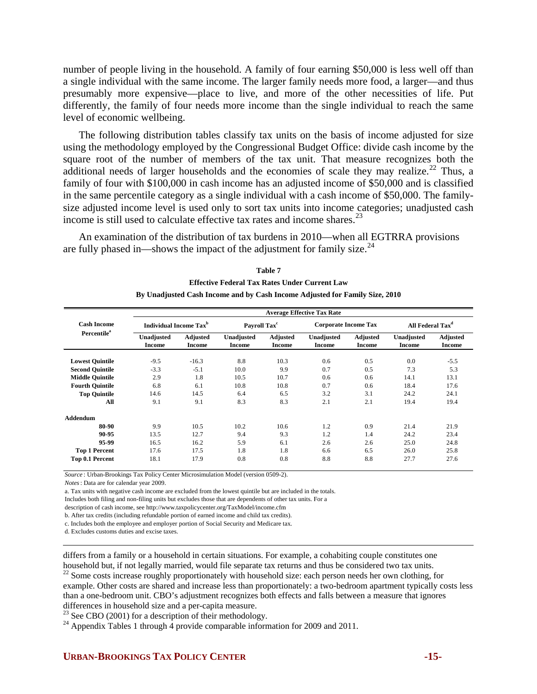number of people living in the household. A family of four earning \$50,000 is less well off than a single individual with the same income. The larger family needs more food, a larger—and thus presumably more expensive—place to live, and more of the other necessities of life. Put differently, the family of four needs more income than the single individual to reach the same level of economic wellbeing.

The following distribution tables classify tax units on the basis of income adjusted for size using the methodology employed by the Congressional Budget Office: divide cash income by the square root of the number of members of the tax unit. That measure recognizes both the additional needs of larger households and the economies of scale they may realize.<sup>[22](#page-14-0)</sup> Thus, a family of four with \$100,000 in cash income has an adjusted income of \$50,000 and is classified in the same percentile category as a single individual with a cash income of \$50,000. The familysize adjusted income level is used only to sort tax units into income categories; unadjusted cash income is still used to calculate effective tax rates and income shares.<sup>[23](#page-14-1)</sup>

An examination of the distribution of tax burdens in 2010—when all EGTRRA provisions are fully phased in—shows the impact of the adjustment for family size.<sup>[24](#page-14-2)</sup>

|                         | <b>Average Effective Tax Rate</b>         |                                  |                             |                           |                             |                           |                              |                                  |  |  |
|-------------------------|-------------------------------------------|----------------------------------|-----------------------------|---------------------------|-----------------------------|---------------------------|------------------------------|----------------------------------|--|--|
| <b>Cash Income</b>      | <b>Individual Income Tax</b> <sup>b</sup> |                                  | Payroll Tax <sup>c</sup>    |                           | <b>Corporate Income Tax</b> |                           | All Federal Tax <sup>d</sup> |                                  |  |  |
| Percentile <sup>a</sup> | Unadjusted<br><b>Income</b>               | <b>Adjusted</b><br><b>Income</b> | Unadjusted<br><b>Income</b> | Adjusted<br><b>Income</b> | Unadjusted<br>Income        | <b>Adjusted</b><br>Income | Unadjusted<br>Income         | <b>Adjusted</b><br><b>Income</b> |  |  |
| <b>Lowest Quintile</b>  | $-9.5$                                    | $-16.3$                          | 8.8                         | 10.3                      | 0.6                         | 0.5                       | 0.0                          | $-5.5$                           |  |  |
| <b>Second Quintile</b>  | $-3.3$                                    | $-5.1$                           | 10.0                        | 9.9                       | 0.7                         | 0.5                       | 7.3                          | 5.3                              |  |  |
| <b>Middle Quintile</b>  | 2.9                                       | 1.8                              | 10.5                        | 10.7                      | 0.6                         | 0.6                       | 14.1                         | 13.1                             |  |  |
| <b>Fourth Quintile</b>  | 6.8                                       | 6.1                              | 10.8                        | 10.8                      | 0.7                         | 0.6                       | 18.4                         | 17.6                             |  |  |
| <b>Top Quintile</b>     | 14.6                                      | 14.5                             | 6.4                         | 6.5                       | 3.2                         | 3.1                       | 24.2                         | 24.1                             |  |  |
| All                     | 9.1                                       | 9.1                              | 8.3                         | 8.3                       | 2.1                         | 2.1                       | 19.4                         | 19.4                             |  |  |
| <b>Addendum</b>         |                                           |                                  |                             |                           |                             |                           |                              |                                  |  |  |
| 80-90                   | 9.9                                       | 10.5                             | 10.2                        | 10.6                      | 1.2                         | 0.9                       | 21.4                         | 21.9                             |  |  |
| 90-95                   | 13.5                                      | 12.7                             | 9.4                         | 9.3                       | 1.2                         | 1.4                       | 24.2                         | 23.4                             |  |  |
| 95-99                   | 16.5                                      | 16.2                             | 5.9                         | 6.1                       | 2.6                         | 2.6                       | 25.0                         | 24.8                             |  |  |
| <b>Top 1 Percent</b>    | 17.6                                      | 17.5                             | 1.8                         | 1.8                       | 6.6                         | 6.5                       | 26.0                         | 25.8                             |  |  |
| Top 0.1 Percent         | 18.1                                      | 17.9                             | 0.8                         | 0.8                       | 8.8                         | 8.8                       | 27.7                         | 27.6                             |  |  |

| Table 7                                                                     |
|-----------------------------------------------------------------------------|
| <b>Effective Federal Tax Rates Under Current Law</b>                        |
| By Unadjusted Cash Income and by Cash Income Adjusted for Family Size, 2010 |

*Source* : Urban-Brookings Tax Policy Center Microsimulation Model (version 0509-2).

*Notes*: Data are for calendar year 2009.

a. Tax units with negative cash income are excluded from the lowest quintile but are included in the totals.

Includes both filing and non-filing units but excludes those that are dependents of other tax units. For a

description of cash income, see http://www.taxpolicycenter.org/TaxModel/income.cfm

b. After tax credits (including refundable portion of earned income and child tax credits).

c. Includes both the employee and employer portion of Social Security and Medicare tax.

d. Excludes customs duties and excise taxes.

 differs from a family or a household in certain situations. For example, a cohabiting couple constitutes one household but, if not legally married, would file separate tax returns and thus be considered two tax units. <sup>22</sup> Some costs increase roughly proportionately with household size: each person needs her own clothing, for

<span id="page-14-0"></span>example. Other costs are shared and increase less than proportionately: a two-bedroom apartment typically costs less than a one-bedroom unit. CBO's adjustment recognizes both effects and falls between a measure that ignores differences in household size and a per-capita measure.

<span id="page-14-1"></span><sup>23</sup> See CBO (2001) for a description of their methodology.

<span id="page-14-2"></span> $^{24}$  Appendix Tables 1 through 4 provide comparable information for 2009 and 2011.

### **URBAN-BROOKINGS TAX POLICY CENTER 45-15-**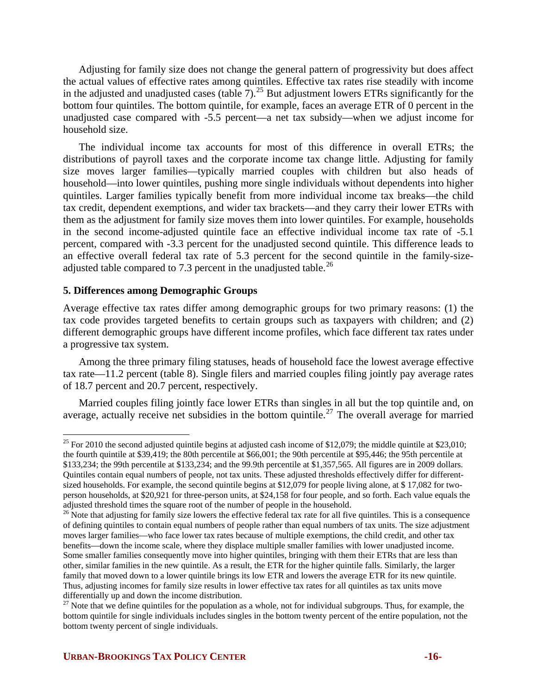Adjusting for family size does not change the general pattern of progressivity but does affect the actual values of effective rates among quintiles. Effective tax rates rise steadily with income in the adjusted and unadjusted cases (table 7).<sup>[25](#page-15-0)</sup> But adjustment lowers ETRs significantly for the bottom four quintiles. The bottom quintile, for example, faces an average ETR of 0 percent in the unadjusted case compared with -5.5 percent—a net tax subsidy—when we adjust income for household size.

The individual income tax accounts for most of this difference in overall ETRs; the distributions of payroll taxes and the corporate income tax change little. Adjusting for family size moves larger families—typically married couples with children but also heads of household—into lower quintiles, pushing more single individuals without dependents into higher quintiles. Larger families typically benefit from more individual income tax breaks—the child tax credit, dependent exemptions, and wider tax brackets—and they carry their lower ETRs with them as the adjustment for family size moves them into lower quintiles. For example, households in the second income-adjusted quintile face an effective individual income tax rate of -5.1 percent, compared with -3.3 percent for the unadjusted second quintile. This difference leads to an effective overall federal tax rate of 5.3 percent for the second quintile in the family-size-adjusted table compared to 7.3 percent in the unadjusted table.<sup>[26](#page-15-1)</sup>

## **5. Differences among Demographic Groups**

1

Average effective tax rates differ among demographic groups for two primary reasons: (1) the tax code provides targeted benefits to certain groups such as taxpayers with children; and (2) different demographic groups have different income profiles, which face different tax rates under a progressive tax system.

Among the three primary filing statuses, heads of household face the lowest average effective tax rate—11.2 percent (table 8). Single filers and married couples filing jointly pay average rates of 18.7 percent and 20.7 percent, respectively.

Married couples filing jointly face lower ETRs than singles in all but the top quintile and, on average, actually receive net subsidies in the bottom quintile.<sup>[27](#page-15-2)</sup> The overall average for married

<span id="page-15-0"></span><sup>&</sup>lt;sup>25</sup> For 2010 the second adjusted quintile begins at adjusted cash income of \$12,079; the middle quintile at \$23,010; the fourth quintile at \$39,419; the 80th percentile at \$66,001; the 90th percentile at \$95,446; the 95th percentile at \$133,234; the 99th percentile at \$133,234; and the 99.9th percentile at \$1,357,565. All figures are in 2009 dollars. Quintiles contain equal numbers of people, not tax units. These adjusted thresholds effectively differ for differentsized households. For example, the second quintile begins at \$12,079 for people living alone, at \$17,082 for twoperson households, at \$20,921 for three-person units, at \$24,158 for four people, and so forth. Each value equals the adjusted threshold times the square root of the number of people in the household.

<span id="page-15-1"></span><sup>&</sup>lt;sup>26</sup> Note that adjusting for family size lowers the effective federal tax rate for all five quintiles. This is a consequence of defining quintiles to contain equal numbers of people rather than equal numbers of tax units. The size adjustment moves larger families—who face lower tax rates because of multiple exemptions, the child credit, and other tax benefits—down the income scale, where they displace multiple smaller families with lower unadjusted income. Some smaller families consequently move into higher quintiles, bringing with them their ETRs that are less than other, similar families in the new quintile. As a result, the ETR for the higher quintile falls. Similarly, the larger family that moved down to a lower quintile brings its low ETR and lowers the average ETR for its new quintile. Thus, adjusting incomes for family size results in lower effective tax rates for all quintiles as tax units move differentially up and down the income distribution.

<span id="page-15-2"></span> $27$  Note that we define quintiles for the population as a whole, not for individual subgroups. Thus, for example, the bottom quintile for single individuals includes singles in the bottom twenty percent of the entire population, not the bottom twenty percent of single individuals.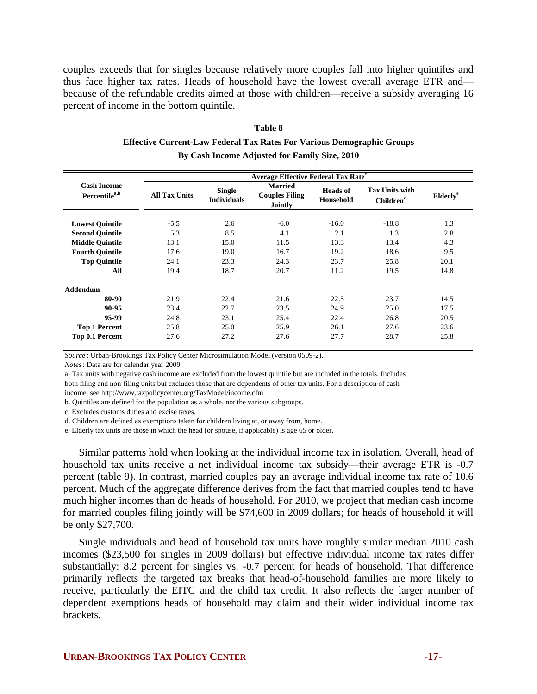couples exceeds that for singles because relatively more couples fall into higher quintiles and thus face higher tax rates. Heads of household have the lowest overall average ETR and because of the refundable credits aimed at those with children—receive a subsidy averaging 16 percent of income in the bottom quintile.

| Table 8                                                                       |
|-------------------------------------------------------------------------------|
| <b>Effective Current-Law Federal Tax Rates For Various Demographic Groups</b> |
| By Cash Income Adjusted for Family Size, 2010                                 |

|                                                 | <b>Average Effective Federal Tax Rate<sup>c</sup></b> |                                     |                                                           |                              |                                                |                      |  |  |  |
|-------------------------------------------------|-------------------------------------------------------|-------------------------------------|-----------------------------------------------------------|------------------------------|------------------------------------------------|----------------------|--|--|--|
| <b>Cash Income</b><br>Percentile <sup>a,b</sup> | <b>All Tax Units</b>                                  | <b>Single</b><br><b>Individuals</b> | <b>Married</b><br><b>Couples Filing</b><br><b>Jointly</b> | <b>Heads</b> of<br>Household | <b>Tax Units with</b><br>Children <sup>d</sup> | Elderly <sup>e</sup> |  |  |  |
| <b>Lowest Quintile</b>                          | $-5.5$                                                | 2.6                                 | $-6.0$                                                    | $-16.0$                      | $-18.8$                                        | 1.3                  |  |  |  |
| <b>Second Quintile</b>                          | 5.3                                                   | 8.5                                 | 4.1                                                       | 2.1                          | 1.3                                            | 2.8                  |  |  |  |
| <b>Middle Quintile</b>                          | 13.1                                                  | 15.0                                | 11.5                                                      | 13.3                         | 13.4                                           | 4.3                  |  |  |  |
| <b>Fourth Quintile</b>                          | 17.6                                                  | 19.0                                | 16.7                                                      | 19.2                         | 18.6                                           | 9.5                  |  |  |  |
| <b>Top Quintile</b>                             | 24.1                                                  | 23.3                                | 24.3                                                      | 23.7                         | 25.8                                           | 20.1                 |  |  |  |
| All                                             | 19.4                                                  | 18.7                                | 20.7                                                      | 11.2                         | 19.5                                           | 14.8                 |  |  |  |
| <b>Addendum</b>                                 |                                                       |                                     |                                                           |                              |                                                |                      |  |  |  |
| 80-90                                           | 21.9                                                  | 22.4                                | 21.6                                                      | 22.5                         | 23.7                                           | 14.5                 |  |  |  |
| 90-95                                           | 23.4                                                  | 22.7                                | 23.5                                                      | 24.9                         | 25.0                                           | 17.5                 |  |  |  |
| 95-99                                           | 24.8                                                  | 23.1                                | 25.4                                                      | 22.4                         | 26.8                                           | 20.5                 |  |  |  |
| <b>Top 1 Percent</b>                            | 25.8                                                  | 25.0                                | 25.9                                                      | 26.1                         | 27.6                                           | 23.6                 |  |  |  |
| Top 0.1 Percent                                 | 27.6                                                  | 27.2                                | 27.6                                                      | 27.7                         | 28.7                                           | 25.8                 |  |  |  |

*Source* : Urban-Brookings Tax Policy Center Microsimulation Model (version 0509-2).

*Notes*: Data are for calendar year 2009.

a. Tax units with negative cash income are excluded from the lowest quintile but are included in the totals. Includes both filing and non-filing units but excludes those that are dependents of other tax units. For a description of cash

income, see http://www.taxpolicycenter.org/TaxModel/income.cfm

b. Quintiles are defined for the population as a whole, not the various subgroups.

c. Excludes customs duties and excise taxes.

d. Children are defined as exemptions taken for children living at, or away from, home.

e. Elderly tax units are those in which the head (or spouse, if applicable) is age 65 or older.

Similar patterns hold when looking at the individual income tax in isolation. Overall, head of household tax units receive a net individual income tax subsidy—their average ETR is -0.7 percent (table 9). In contrast, married couples pay an average individual income tax rate of 10.6 percent. Much of the aggregate difference derives from the fact that married couples tend to have much higher incomes than do heads of household. For 2010, we project that median cash income for married couples filing jointly will be \$74,600 in 2009 dollars; for heads of household it will be only \$27,700.

Single individuals and head of household tax units have roughly similar median 2010 cash incomes (\$23,500 for singles in 2009 dollars) but effective individual income tax rates differ substantially: 8.2 percent for singles vs. -0.7 percent for heads of household. That difference primarily reflects the targeted tax breaks that head-of-household families are more likely to receive, particularly the EITC and the child tax credit. It also reflects the larger number of dependent exemptions heads of household may claim and their wider individual income tax brackets.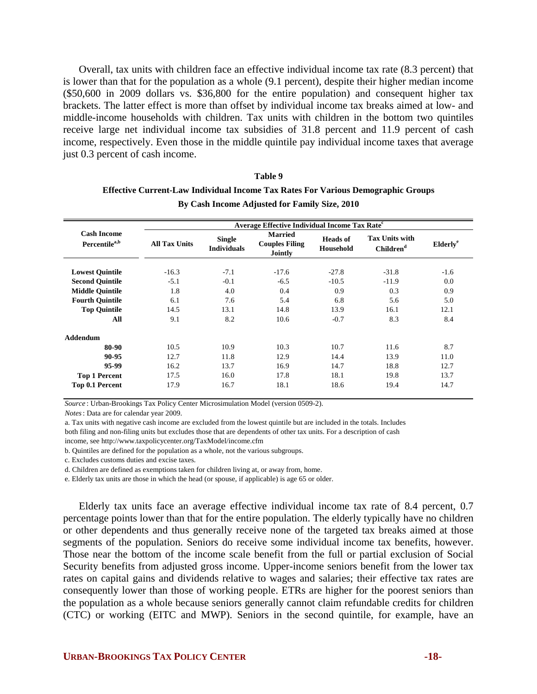Overall, tax units with children face an effective individual income tax rate (8.3 percent) that is lower than that for the population as a whole (9.1 percent), despite their higher median income (\$50,600 in 2009 dollars vs. \$36,800 for the entire population) and consequent higher tax brackets. The latter effect is more than offset by individual income tax breaks aimed at low- and middle-income households with children. Tax units with children in the bottom two quintiles receive large net individual income tax subsidies of 31.8 percent and 11.9 percent of cash income, respectively. Even those in the middle quintile pay individual income taxes that average just 0.3 percent of cash income.

#### **Table 9**

# **Effective Current-Law Individual Income Tax Rates For Various Demographic Groups By Cash Income Adjusted for Family Size, 2010**

|                                                 | Average Effective Individual Income Tax Rate <sup>c</sup> |                                     |                                                           |                              |                                                |                      |  |  |  |
|-------------------------------------------------|-----------------------------------------------------------|-------------------------------------|-----------------------------------------------------------|------------------------------|------------------------------------------------|----------------------|--|--|--|
| <b>Cash Income</b><br>Percentile <sup>a,b</sup> | <b>All Tax Units</b>                                      | <b>Single</b><br><b>Individuals</b> | <b>Married</b><br><b>Couples Filing</b><br><b>Jointly</b> | <b>Heads of</b><br>Household | <b>Tax Units with</b><br>Children <sup>d</sup> | Elderly <sup>e</sup> |  |  |  |
| <b>Lowest Quintile</b>                          | $-16.3$                                                   | $-7.1$                              | $-17.6$                                                   | $-27.8$                      | $-31.8$                                        | $-1.6$               |  |  |  |
| <b>Second Quintile</b>                          | $-5.1$                                                    | $-0.1$                              | $-6.5$                                                    | $-10.5$                      | $-11.9$                                        | 0.0                  |  |  |  |
| <b>Middle Quintile</b>                          | 1.8                                                       | 4.0                                 | 0.4                                                       | 0.9                          | 0.3                                            | 0.9                  |  |  |  |
| <b>Fourth Quintile</b>                          | 6.1                                                       | 7.6                                 | 5.4                                                       | 6.8                          | 5.6                                            | 5.0                  |  |  |  |
| <b>Top Quintile</b>                             | 14.5                                                      | 13.1                                | 14.8                                                      | 13.9                         | 16.1                                           | 12.1                 |  |  |  |
| All                                             | 9.1                                                       | 8.2                                 | 10.6                                                      | $-0.7$                       | 8.3                                            | 8.4                  |  |  |  |
| <b>Addendum</b>                                 |                                                           |                                     |                                                           |                              |                                                |                      |  |  |  |
| 80-90                                           | 10.5                                                      | 10.9                                | 10.3                                                      | 10.7                         | 11.6                                           | 8.7                  |  |  |  |
| 90-95                                           | 12.7                                                      | 11.8                                | 12.9                                                      | 14.4                         | 13.9                                           | 11.0                 |  |  |  |
| 95-99                                           | 16.2                                                      | 13.7                                | 16.9                                                      | 14.7                         | 18.8                                           | 12.7                 |  |  |  |
| <b>Top 1 Percent</b>                            | 17.5                                                      | 16.0                                | 17.8                                                      | 18.1                         | 19.8                                           | 13.7                 |  |  |  |
| Top 0.1 Percent                                 | 17.9                                                      | 16.7                                | 18.1                                                      | 18.6                         | 19.4                                           | 14.7                 |  |  |  |

*Source* : Urban-Brookings Tax Policy Center Microsimulation Model (version 0509-2).

*Notes*: Data are for calendar year 2009.

a. Tax units with negative cash income are excluded from the lowest quintile but are included in the totals. Includes both filing and non-filing units but excludes those that are dependents of other tax units. For a description of cash income, see http://www.taxpolicycenter.org/TaxModel/income.cfm

b. Quintiles are defined for the population as a whole, not the various subgroups.

c. Excludes customs duties and excise taxes.

d. Children are defined as exemptions taken for children living at, or away from, home.

e. Elderly tax units are those in which the head (or spouse, if applicable) is age 65 or older.

Elderly tax units face an average effective individual income tax rate of 8.4 percent, 0.7 percentage points lower than that for the entire population. The elderly typically have no children or other dependents and thus generally receive none of the targeted tax breaks aimed at those segments of the population. Seniors do receive some individual income tax benefits, however. Those near the bottom of the income scale benefit from the full or partial exclusion of Social Security benefits from adjusted gross income. Upper-income seniors benefit from the lower tax rates on capital gains and dividends relative to wages and salaries; their effective tax rates are consequently lower than those of working people. ETRs are higher for the poorest seniors than the population as a whole because seniors generally cannot claim refundable credits for children (CTC) or working (EITC and MWP). Seniors in the second quintile, for example, have an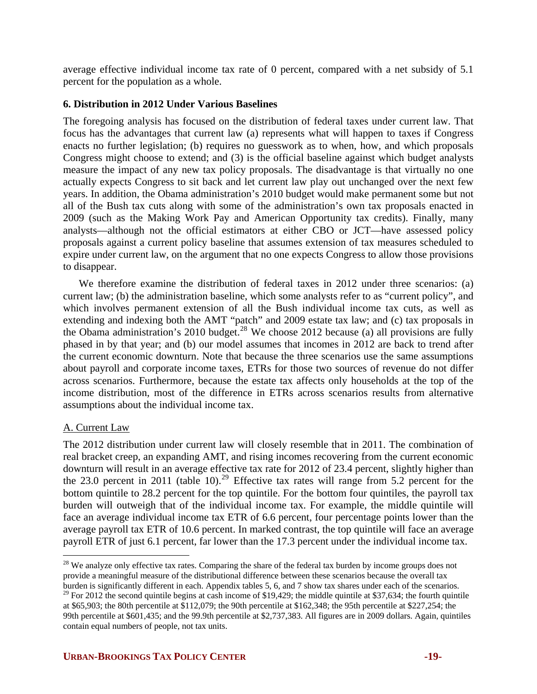average effective individual income tax rate of 0 percent, compared with a net subsidy of 5.1 percent for the population as a whole.

# **6. Distribution in 2012 Under Various Baselines**

The foregoing analysis has focused on the distribution of federal taxes under current law. That focus has the advantages that current law (a) represents what will happen to taxes if Congress enacts no further legislation; (b) requires no guesswork as to when, how, and which proposals Congress might choose to extend; and (3) is the official baseline against which budget analysts measure the impact of any new tax policy proposals. The disadvantage is that virtually no one actually expects Congress to sit back and let current law play out unchanged over the next few years. In addition, the Obama administration's 2010 budget would make permanent some but not all of the Bush tax cuts along with some of the administration's own tax proposals enacted in 2009 (such as the Making Work Pay and American Opportunity tax credits). Finally, many analysts—although not the official estimators at either CBO or JCT—have assessed policy proposals against a current policy baseline that assumes extension of tax measures scheduled to expire under current law, on the argument that no one expects Congress to allow those provisions to disappear.

We therefore examine the distribution of federal taxes in 2012 under three scenarios: (a) current law; (b) the administration baseline, which some analysts refer to as "current policy", and which involves permanent extension of all the Bush individual income tax cuts, as well as extending and indexing both the AMT "patch" and 2009 estate tax law; and (c) tax proposals in the Obama administration's 2010 budget.<sup>[28](#page-18-0)</sup> We choose 2012 because (a) all provisions are fully phased in by that year; and (b) our model assumes that incomes in 2012 are back to trend after the current economic downturn. Note that because the three scenarios use the same assumptions about payroll and corporate income taxes, ETRs for those two sources of revenue do not differ across scenarios. Furthermore, because the estate tax affects only households at the top of the income distribution, most of the difference in ETRs across scenarios results from alternative assumptions about the individual income tax.

# A. Current Law

The 2012 distribution under current law will closely resemble that in 2011. The combination of real bracket creep, an expanding AMT, and rising incomes recovering from the current economic downturn will result in an average effective tax rate for 2012 of 23.4 percent, slightly higher than the 23.0 percent in 2011 (table 10).<sup>[29](#page-18-1)</sup> Effective tax rates will range from 5.2 percent for the bottom quintile to 28.2 percent for the top quintile. For the bottom four quintiles, the payroll tax burden will outweigh that of the individual income tax. For example, the middle quintile will face an average individual income tax ETR of 6.6 percent, four percentage points lower than the average payroll tax ETR of 10.6 percent. In marked contrast, the top quintile will face an average payroll ETR of just 6.1 percent, far lower than the 17.3 percent under the individual income tax.

<span id="page-18-0"></span> $\overline{a}$ <sup>28</sup> We analyze only effective tax rates. Comparing the share of the federal tax burden by income groups does not provide a meaningful measure of the distributional difference between these scenarios because the overall tax burden is significantly different in each. Appendix tables 5, 6, and 7 show tax shares under each of the scenarios.

<span id="page-18-1"></span> $29$  For 2012 the second quintile begins at cash income of \$19,429; the middle quintile at \$37,634; the fourth quintile at \$65,903; the 80th percentile at \$112,079; the 90th percentile at \$162,348; the 95th percentile at \$227,254; the 99th percentile at \$601,435; and the 99.9th percentile at \$2,737,383. All figures are in 2009 dollars. Again, quintiles contain equal numbers of people, not tax units.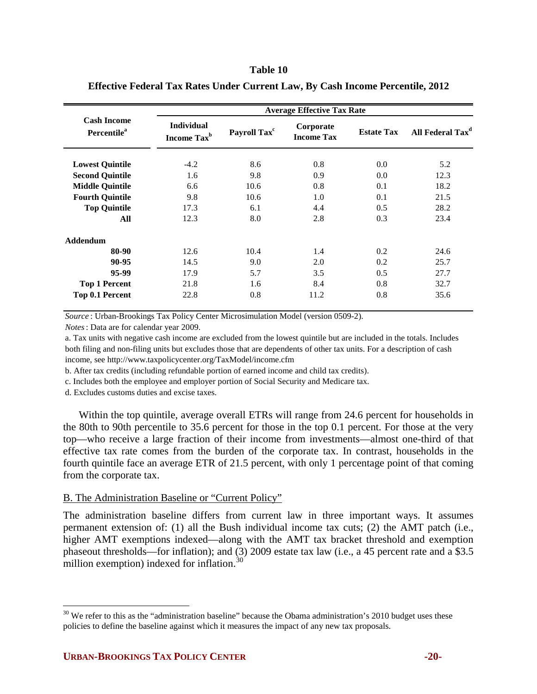### **Table 10**

|                                               |                                              |                          | <b>Average Effective Tax Rate</b> |                   |                              |
|-----------------------------------------------|----------------------------------------------|--------------------------|-----------------------------------|-------------------|------------------------------|
| <b>Cash Income</b><br>Percentile <sup>a</sup> | <b>Individual</b><br>Income Tax <sup>b</sup> | Payroll Tax <sup>c</sup> | Corporate<br><b>Income Tax</b>    | <b>Estate Tax</b> | All Federal Tax <sup>d</sup> |
| <b>Lowest Quintile</b>                        | $-4.2$                                       | 8.6                      | 0.8                               | 0.0               | 5.2                          |
| <b>Second Quintile</b>                        | 1.6                                          | 9.8                      | 0.9                               | 0.0               | 12.3                         |
| <b>Middle Quintile</b>                        | 6.6                                          | 10.6                     | 0.8                               | 0.1               | 18.2                         |
| <b>Fourth Quintile</b>                        | 9.8                                          | 10.6                     | 1.0                               | 0.1               | 21.5                         |
| <b>Top Quintile</b>                           | 17.3                                         | 6.1                      | 4.4                               | 0.5               | 28.2                         |
| All                                           | 12.3                                         | 8.0                      | 2.8                               | 0.3               | 23.4                         |
| <b>Addendum</b>                               |                                              |                          |                                   |                   |                              |
| 80-90                                         | 12.6                                         | 10.4                     | 1.4                               | 0.2               | 24.6                         |
| 90-95                                         | 14.5                                         | 9.0                      | 2.0                               | 0.2               | 25.7                         |
| 95-99                                         | 17.9                                         | 5.7                      | 3.5                               | 0.5               | 27.7                         |
| <b>Top 1 Percent</b>                          | 21.8                                         | 1.6                      | 8.4                               | 0.8               | 32.7                         |
| Top 0.1 Percent                               | 22.8                                         | 0.8                      | 11.2                              | 0.8               | 35.6                         |

## **Effective Federal Tax Rates Under Current Law, By Cash Income Percentile, 2012**

*Source* : Urban-Brookings Tax Policy Center Microsimulation Model (version 0509-2).

*Notes*: Data are for calendar year 2009.

a. Tax units with negative cash income are excluded from the lowest quintile but are included in the totals. Includes both filing and non-filing units but excludes those that are dependents of other tax units. For a description of cash income, see http://www.taxpolicycenter.org/TaxModel/income.cfm

b. After tax credits (including refundable portion of earned income and child tax credits).

c. Includes both the employee and employer portion of Social Security and Medicare tax.

d. Excludes customs duties and excise taxes.

Within the top quintile, average overall ETRs will range from 24.6 percent for households in the 80th to 90th percentile to 35.6 percent for those in the top 0.1 percent. For those at the very top—who receive a large fraction of their income from investments—almost one-third of that effective tax rate comes from the burden of the corporate tax. In contrast, households in the fourth quintile face an average ETR of 21.5 percent, with only 1 percentage point of that coming from the corporate tax.

## B. The Administration Baseline or "Current Policy"

The administration baseline differs from current law in three important ways. It assumes permanent extension of: (1) all the Bush individual income tax cuts; (2) the AMT patch (i.e., higher AMT exemptions indexed—along with the AMT tax bracket threshold and exemption phaseout thresholds—for inflation); and (3) 2009 estate tax law (i.e., a 45 percent rate and a \$3.5 million exemption) indexed for inflation. $30$ 

 $\overline{a}$ 

<span id="page-19-0"></span> $30$  We refer to this as the "administration baseline" because the Obama administration's 2010 budget uses these policies to define the baseline against which it measures the impact of any new tax proposals.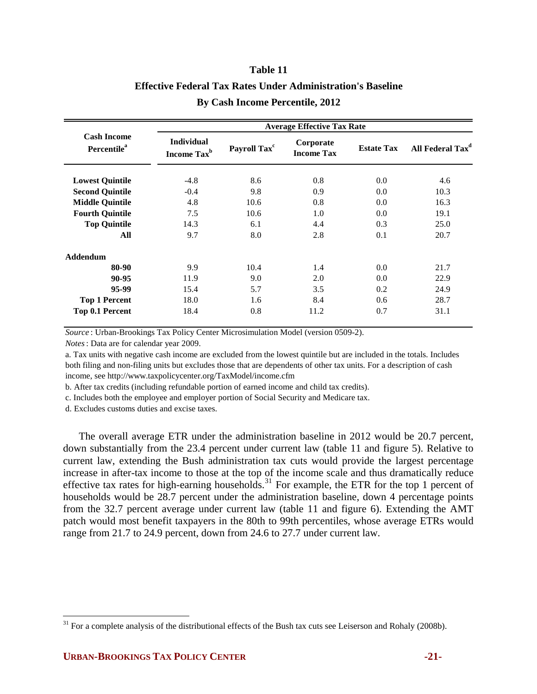# **By Cash Income Percentile, 2012 Table 11 Effective Federal Tax Rates Under Administration's Baseline**

|                                               |                                              | <b>Average Effective Tax Rate</b> |                                |                   |                              |  |  |  |  |
|-----------------------------------------------|----------------------------------------------|-----------------------------------|--------------------------------|-------------------|------------------------------|--|--|--|--|
| <b>Cash Income</b><br>Percentile <sup>a</sup> | <b>Individual</b><br>Income Tax <sup>b</sup> | Payroll Tax <sup>c</sup>          | Corporate<br><b>Income Tax</b> | <b>Estate Tax</b> | All Federal Tax <sup>d</sup> |  |  |  |  |
| <b>Lowest Quintile</b>                        | $-4.8$                                       | 8.6                               | 0.8                            | 0.0               | 4.6                          |  |  |  |  |
| <b>Second Quintile</b>                        | $-0.4$                                       | 9.8                               | 0.9                            | 0.0               | 10.3                         |  |  |  |  |
| <b>Middle Quintile</b>                        | 4.8                                          | 10.6                              | 0.8                            | 0.0               | 16.3                         |  |  |  |  |
| <b>Fourth Quintile</b>                        | 7.5                                          | 10.6                              | 1.0                            | 0.0               | 19.1                         |  |  |  |  |
| <b>Top Quintile</b>                           | 14.3                                         | 6.1                               | 4.4                            | 0.3               | 25.0                         |  |  |  |  |
| All                                           | 9.7                                          | 8.0                               | 2.8                            | 0.1               | 20.7                         |  |  |  |  |
| <b>Addendum</b>                               |                                              |                                   |                                |                   |                              |  |  |  |  |
| 80-90                                         | 9.9                                          | 10.4                              | 1.4                            | 0.0               | 21.7                         |  |  |  |  |
| 90-95                                         | 11.9                                         | 9.0                               | 2.0                            | 0.0               | 22.9                         |  |  |  |  |
| 95-99                                         | 15.4                                         | 5.7                               | 3.5                            | 0.2               | 24.9                         |  |  |  |  |
| <b>Top 1 Percent</b>                          | 18.0                                         | 1.6                               | 8.4                            | 0.6               | 28.7                         |  |  |  |  |
| Top 0.1 Percent                               | 18.4                                         | 0.8                               | 11.2                           | 0.7               | 31.1                         |  |  |  |  |

*Source* : Urban-Brookings Tax Policy Center Microsimulation Model (version 0509-2).

*Notes*: Data are for calendar year 2009.

a. Tax units with negative cash income are excluded from the lowest quintile but are included in the totals. Includes both filing and non-filing units but excludes those that are dependents of other tax units. For a description of cash income, see http://www.taxpolicycenter.org/TaxModel/income.cfm

b. After tax credits (including refundable portion of earned income and child tax credits).

c. Includes both the employee and employer portion of Social Security and Medicare tax.

d. Excludes customs duties and excise taxes.

The overall average ETR under the administration baseline in 2012 would be 20.7 percent, down substantially from the 23.4 percent under current law (table 11 and figure 5). Relative to current law, extending the Bush administration tax cuts would provide the largest percentage increase in after-tax income to those at the top of the income scale and thus dramatically reduce effective tax rates for high-earning households.<sup>[31](#page-20-0)</sup> For example, the ETR for the top 1 percent of households would be 28.7 percent under the administration baseline, down 4 percentage points from the 32.7 percent average under current law (table 11 and figure 6). Extending the AMT patch would most benefit taxpayers in the 80th to 99th percentiles, whose average ETRs would range from 21.7 to 24.9 percent, down from 24.6 to 27.7 under current law.

 $\overline{a}$ 

<span id="page-20-0"></span> $31$  For a complete analysis of the distributional effects of the Bush tax cuts see Leiserson and Rohaly (2008b).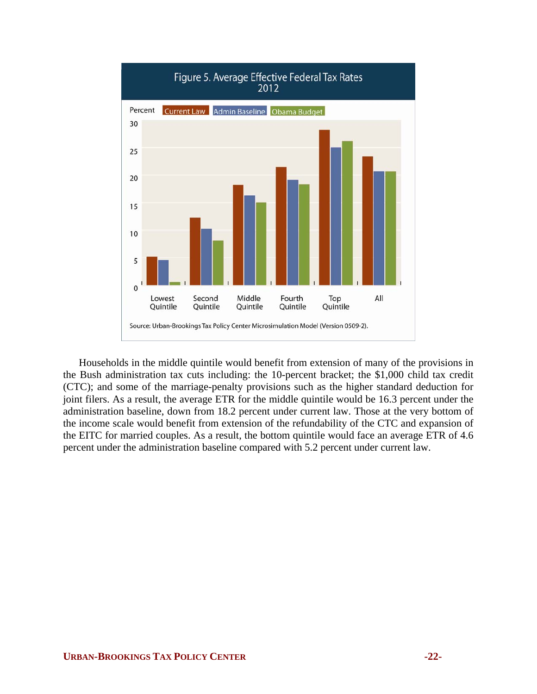

Households in the middle quintile would benefit from extension of many of the provisions in the Bush administration tax cuts including: the 10-percent bracket; the \$1,000 child tax credit (CTC); and some of the marriage-penalty provisions such as the higher standard deduction for joint filers. As a result, the average ETR for the middle quintile would be 16.3 percent under the administration baseline, down from 18.2 percent under current law. Those at the very bottom of the income scale would benefit from extension of the refundability of the CTC and expansion of the EITC for married couples. As a result, the bottom quintile would face an average ETR of 4.6 percent under the administration baseline compared with 5.2 percent under current law.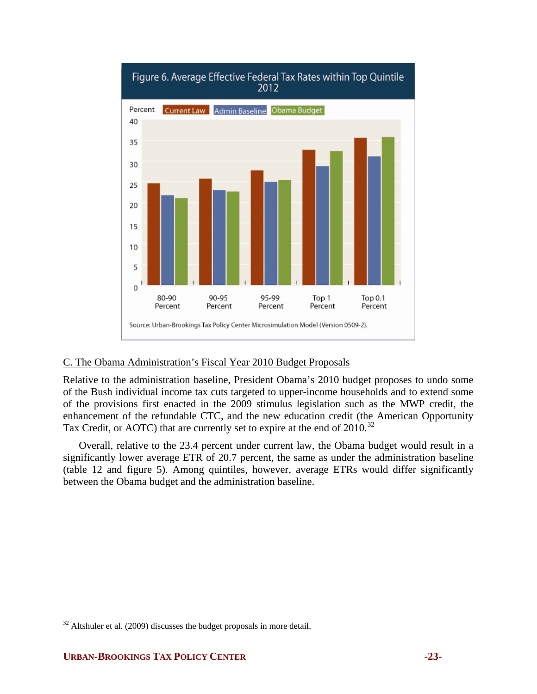

# C. The Obama Administration's Fiscal Year 2010 Budget Proposals

Relative to the administration baseline, President Obama's 2010 budget proposes to undo some of the Bush individual income tax cuts targeted to upper-income households and to extend some of the provisions first enacted in the 2009 stimulus legislation such as the MWP credit, the enhancement of the refundable CTC, and the new education credit (the American Opportunity Tax Credit, or AOTC) that are currently set to expire at the end of 2010.<sup>[32](#page-22-0)</sup>

Overall, relative to the 23.4 percent under current law, the Obama budget would result in a significantly lower average ETR of 20.7 percent, the same as under the administration baseline (table 12 and figure 5). Among quintiles, however, average ETRs would differ significantly between the Obama budget and the administration baseline.

<u>.</u>

<span id="page-22-0"></span> $32$  Altshuler et al. (2009) discusses the budget proposals in more detail.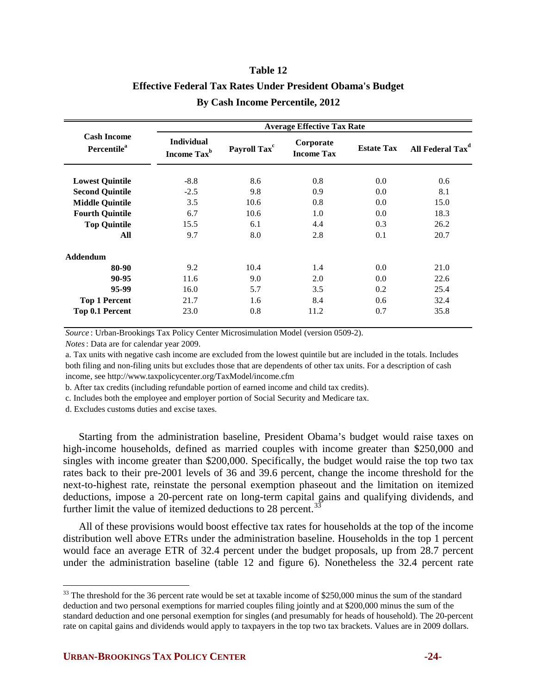# **By Cash Income Percentile, 2012 Table 12 Effective Federal Tax Rates Under President Obama's Budget**

|                                               |                                              |                          | <b>Average Effective Tax Rate</b> |                   |                              |
|-----------------------------------------------|----------------------------------------------|--------------------------|-----------------------------------|-------------------|------------------------------|
| <b>Cash Income</b><br>Percentile <sup>a</sup> | <b>Individual</b><br>Income Tax <sup>b</sup> | Payroll Tax <sup>c</sup> | Corporate<br><b>Income Tax</b>    | <b>Estate Tax</b> | All Federal Tax <sup>d</sup> |
| <b>Lowest Quintile</b>                        | $-8.8$                                       | 8.6                      | 0.8                               | 0.0               | 0.6                          |
| <b>Second Quintile</b>                        | $-2.5$                                       | 9.8                      | 0.9                               | 0.0               | 8.1                          |
| <b>Middle Quintile</b>                        | 3.5                                          | 10.6                     | 0.8                               | 0.0               | 15.0                         |
| <b>Fourth Quintile</b>                        | 6.7                                          | 10.6                     | 1.0                               | 0.0               | 18.3                         |
| <b>Top Quintile</b>                           | 15.5                                         | 6.1                      | 4.4                               | 0.3               | 26.2                         |
| All                                           | 9.7                                          | 8.0                      | 2.8                               | 0.1               | 20.7                         |
| <b>Addendum</b>                               |                                              |                          |                                   |                   |                              |
| 80-90                                         | 9.2                                          | 10.4                     | 1.4                               | 0.0               | 21.0                         |
| 90-95                                         | 11.6                                         | 9.0                      | 2.0                               | 0.0               | 22.6                         |
| 95-99                                         | 16.0                                         | 5.7                      | 3.5                               | 0.2               | 25.4                         |
| <b>Top 1 Percent</b>                          | 21.7                                         | 1.6                      | 8.4                               | 0.6               | 32.4                         |
| Top 0.1 Percent                               | 23.0                                         | 0.8                      | 11.2                              | 0.7               | 35.8                         |

*Source* : Urban-Brookings Tax Policy Center Microsimulation Model (version 0509-2).

*Notes*: Data are for calendar year 2009.

a. Tax units with negative cash income are excluded from the lowest quintile but are included in the totals. Includes both filing and non-filing units but excludes those that are dependents of other tax units. For a description of cash income, see http://www.taxpolicycenter.org/TaxModel/income.cfm

b. After tax credits (including refundable portion of earned income and child tax credits).

c. Includes both the employee and employer portion of Social Security and Medicare tax.

d. Excludes customs duties and excise taxes.

Starting from the administration baseline, President Obama's budget would raise taxes on high-income households, defined as married couples with income greater than \$250,000 and singles with income greater than \$200,000. Specifically, the budget would raise the top two tax rates back to their pre-2001 levels of 36 and 39.6 percent, change the income threshold for the next-to-highest rate, reinstate the personal exemption phaseout and the limitation on itemized deductions, impose a 20-percent rate on long-term capital gains and qualifying dividends, and further limit the value of itemized deductions to 28 percent.<sup>[33](#page-23-0)</sup>

All of these provisions would boost effective tax rates for households at the top of the income distribution well above ETRs under the administration baseline. Households in the top 1 percent would face an average ETR of 32.4 percent under the budget proposals, up from 28.7 percent under the administration baseline (table 12 and figure 6). Nonetheless the 32.4 percent rate

 $\overline{a}$ 

<span id="page-23-0"></span><sup>&</sup>lt;sup>33</sup> The threshold for the 36 percent rate would be set at taxable income of \$250,000 minus the sum of the standard deduction and two personal exemptions for married couples filing jointly and at \$200,000 minus the sum of the standard deduction and one personal exemption for singles (and presumably for heads of household). The 20-percent rate on capital gains and dividends would apply to taxpayers in the top two tax brackets. Values are in 2009 dollars.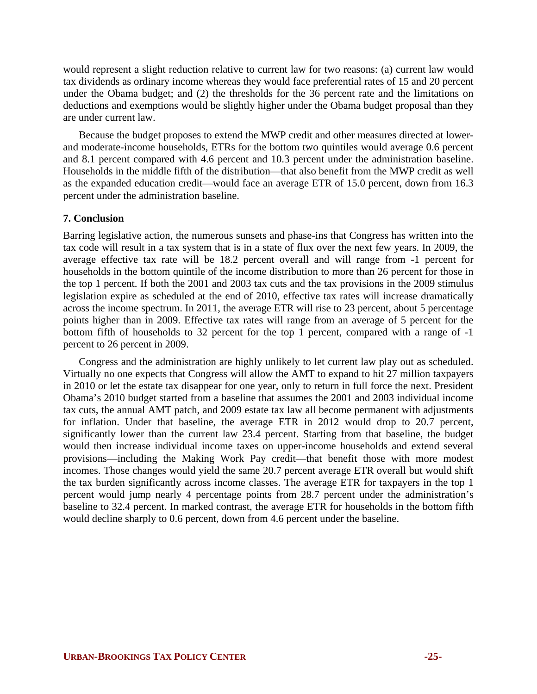would represent a slight reduction relative to current law for two reasons: (a) current law would tax dividends as ordinary income whereas they would face preferential rates of 15 and 20 percent under the Obama budget; and (2) the thresholds for the 36 percent rate and the limitations on deductions and exemptions would be slightly higher under the Obama budget proposal than they are under current law.

Because the budget proposes to extend the MWP credit and other measures directed at lowerand moderate-income households, ETRs for the bottom two quintiles would average 0.6 percent and 8.1 percent compared with 4.6 percent and 10.3 percent under the administration baseline. Households in the middle fifth of the distribution—that also benefit from the MWP credit as well as the expanded education credit—would face an average ETR of 15.0 percent, down from 16.3 percent under the administration baseline.

## **7. Conclusion**

Barring legislative action, the numerous sunsets and phase-ins that Congress has written into the tax code will result in a tax system that is in a state of flux over the next few years. In 2009, the average effective tax rate will be 18.2 percent overall and will range from -1 percent for households in the bottom quintile of the income distribution to more than 26 percent for those in the top 1 percent. If both the 2001 and 2003 tax cuts and the tax provisions in the 2009 stimulus legislation expire as scheduled at the end of 2010, effective tax rates will increase dramatically across the income spectrum. In 2011, the average ETR will rise to 23 percent, about 5 percentage points higher than in 2009. Effective tax rates will range from an average of 5 percent for the bottom fifth of households to 32 percent for the top 1 percent, compared with a range of -1 percent to 26 percent in 2009.

Congress and the administration are highly unlikely to let current law play out as scheduled. Virtually no one expects that Congress will allow the AMT to expand to hit 27 million taxpayers in 2010 or let the estate tax disappear for one year, only to return in full force the next. President Obama's 2010 budget started from a baseline that assumes the 2001 and 2003 individual income tax cuts, the annual AMT patch, and 2009 estate tax law all become permanent with adjustments for inflation. Under that baseline, the average ETR in 2012 would drop to 20.7 percent, significantly lower than the current law 23.4 percent. Starting from that baseline, the budget would then increase individual income taxes on upper-income households and extend several provisions—including the Making Work Pay credit—that benefit those with more modest incomes. Those changes would yield the same 20.7 percent average ETR overall but would shift the tax burden significantly across income classes. The average ETR for taxpayers in the top 1 percent would jump nearly 4 percentage points from 28.7 percent under the administration's baseline to 32.4 percent. In marked contrast, the average ETR for households in the bottom fifth would decline sharply to 0.6 percent, down from 4.6 percent under the baseline.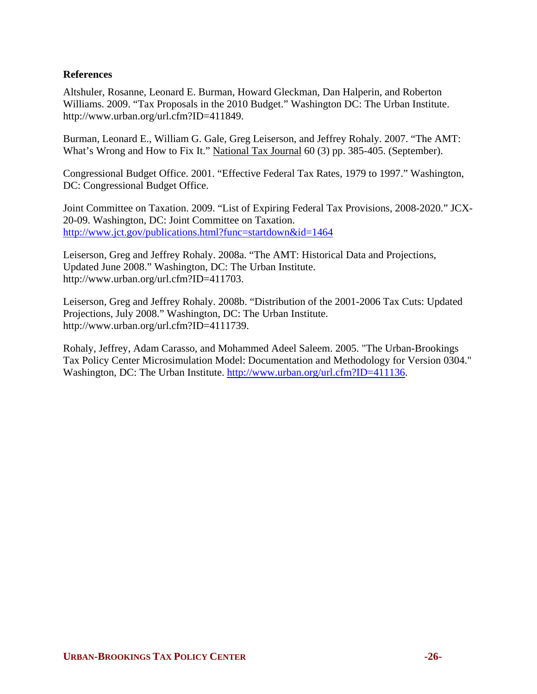# **References**

Altshuler, Rosanne, Leonard E. Burman, Howard Gleckman, Dan Halperin, and Roberton Williams. 2009. "Tax Proposals in the 2010 Budget." Washington DC: The Urban Institute. http://www.urban.org/url.cfm?ID=411849.

Burman, Leonard E., William G. Gale, Greg Leiserson, and Jeffrey Rohaly. 2007. "The AMT: What's Wrong and How to Fix It." National Tax Journal 60 (3) pp. 385-405. (September).

Congressional Budget Office. 2001. "Effective Federal Tax Rates, 1979 to 1997." Washington, DC: Congressional Budget Office.

Joint Committee on Taxation. 2009. "List of Expiring Federal Tax Provisions, 2008-2020." JCX-20-09. Washington, DC: Joint Committee on Taxation. <http://www.jct.gov/publications.html?func=startdown&id=1464>

Leiserson, Greg and Jeffrey Rohaly. 2008a. "The AMT: Historical Data and Projections, Updated June 2008." Washington, DC: The Urban Institute. http://www.urban.org/url.cfm?ID=411703.

Leiserson, Greg and Jeffrey Rohaly. 2008b. "Distribution of the 2001-2006 Tax Cuts: Updated Projections, July 2008." Washington, DC: The Urban Institute. http://www.urban.org/url.cfm?ID=4111739.

Rohaly, Jeffrey, Adam Carasso, and Mohammed Adeel Saleem. 2005. "The Urban-Brookings Tax Policy Center Microsimulation Model: Documentation and Methodology for Version 0304." Washington, DC: The Urban Institute. <http://www.urban.org/url.cfm?ID=411136>.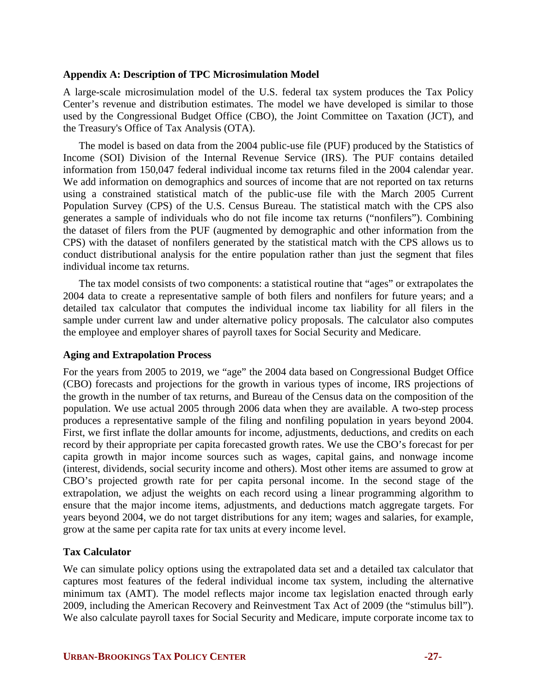## **Appendix A: Description of TPC Microsimulation Model**

A large-scale microsimulation model of the U.S. federal tax system produces the Tax Policy Center's revenue and distribution estimates. The model we have developed is similar to those used by the Congressional Budget Office (CBO), the Joint Committee on Taxation (JCT), and the Treasury's Office of Tax Analysis (OTA).

The model is based on data from the 2004 public-use file (PUF) produced by the Statistics of Income (SOI) Division of the Internal Revenue Service (IRS). The PUF contains detailed information from 150,047 federal individual income tax returns filed in the 2004 calendar year. We add information on demographics and sources of income that are not reported on tax returns using a constrained statistical match of the public-use file with the March 2005 Current Population Survey (CPS) of the U.S. Census Bureau. The statistical match with the CPS also generates a sample of individuals who do not file income tax returns ("nonfilers"). Combining the dataset of filers from the PUF (augmented by demographic and other information from the CPS) with the dataset of nonfilers generated by the statistical match with the CPS allows us to conduct distributional analysis for the entire population rather than just the segment that files individual income tax returns.

The tax model consists of two components: a statistical routine that "ages" or extrapolates the 2004 data to create a representative sample of both filers and nonfilers for future years; and a detailed tax calculator that computes the individual income tax liability for all filers in the sample under current law and under alternative policy proposals. The calculator also computes the employee and employer shares of payroll taxes for Social Security and Medicare.

## **Aging and Extrapolation Process**

For the years from 2005 to 2019, we "age" the 2004 data based on Congressional Budget Office (CBO) forecasts and projections for the growth in various types of income, IRS projections of the growth in the number of tax returns, and Bureau of the Census data on the composition of the population. We use actual 2005 through 2006 data when they are available. A two-step process produces a representative sample of the filing and nonfiling population in years beyond 2004. First, we first inflate the dollar amounts for income, adjustments, deductions, and credits on each record by their appropriate per capita forecasted growth rates. We use the CBO's forecast for per capita growth in major income sources such as wages, capital gains, and nonwage income (interest, dividends, social security income and others). Most other items are assumed to grow at CBO's projected growth rate for per capita personal income. In the second stage of the extrapolation, we adjust the weights on each record using a linear programming algorithm to ensure that the major income items, adjustments, and deductions match aggregate targets. For years beyond 2004, we do not target distributions for any item; wages and salaries, for example, grow at the same per capita rate for tax units at every income level.

# **Tax Calculator**

We can simulate policy options using the extrapolated data set and a detailed tax calculator that captures most features of the federal individual income tax system, including the alternative minimum tax (AMT). The model reflects major income tax legislation enacted through early 2009, including the American Recovery and Reinvestment Tax Act of 2009 (the "stimulus bill"). We also calculate payroll taxes for Social Security and Medicare, impute corporate income tax to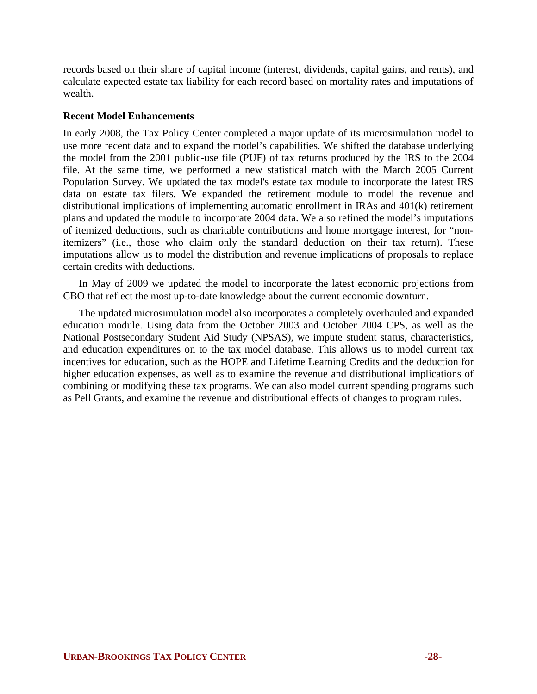records based on their share of capital income (interest, dividends, capital gains, and rents), and calculate expected estate tax liability for each record based on mortality rates and imputations of wealth.

## **Recent Model Enhancements**

In early 2008, the Tax Policy Center completed a major update of its microsimulation model to use more recent data and to expand the model's capabilities. We shifted the database underlying the model from the 2001 public-use file (PUF) of tax returns produced by the IRS to the 2004 file. At the same time, we performed a new statistical match with the March 2005 Current Population Survey. We updated the tax model's estate tax module to incorporate the latest IRS data on estate tax filers. We expanded the retirement module to model the revenue and distributional implications of implementing automatic enrollment in IRAs and 401(k) retirement plans and updated the module to incorporate 2004 data. We also refined the model's imputations of itemized deductions, such as charitable contributions and home mortgage interest, for "nonitemizers" (i.e., those who claim only the standard deduction on their tax return). These imputations allow us to model the distribution and revenue implications of proposals to replace certain credits with deductions.

In May of 2009 we updated the model to incorporate the latest economic projections from CBO that reflect the most up-to-date knowledge about the current economic downturn.

The updated microsimulation model also incorporates a completely overhauled and expanded education module. Using data from the October 2003 and October 2004 CPS, as well as the National Postsecondary Student Aid Study (NPSAS), we impute student status, characteristics, and education expenditures on to the tax model database. This allows us to model current tax incentives for education, such as the HOPE and Lifetime Learning Credits and the deduction for higher education expenses, as well as to examine the revenue and distributional implications of combining or modifying these tax programs. We can also model current spending programs such as Pell Grants, and examine the revenue and distributional effects of changes to program rules.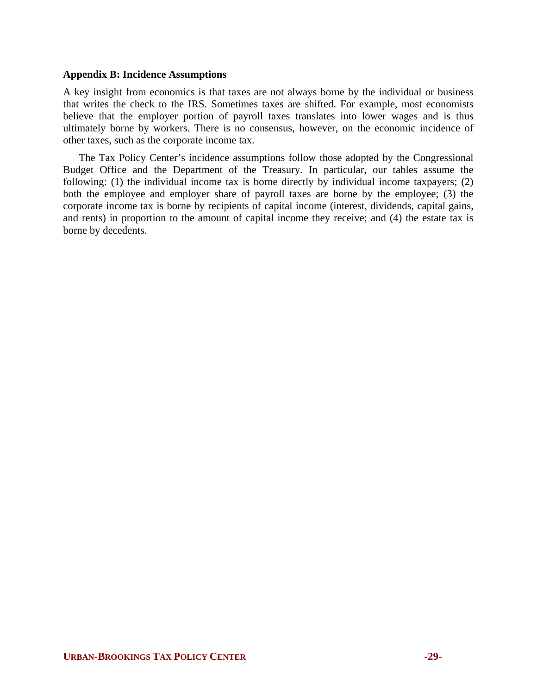## **Appendix B: Incidence Assumptions**

A key insight from economics is that taxes are not always borne by the individual or business that writes the check to the IRS. Sometimes taxes are shifted. For example, most economists believe that the employer portion of payroll taxes translates into lower wages and is thus ultimately borne by workers. There is no consensus, however, on the economic incidence of other taxes, such as the corporate income tax.

The Tax Policy Center's incidence assumptions follow those adopted by the Congressional Budget Office and the Department of the Treasury. In particular, our tables assume the following: (1) the individual income tax is borne directly by individual income taxpayers; (2) both the employee and employer share of payroll taxes are borne by the employee; (3) the corporate income tax is borne by recipients of capital income (interest, dividends, capital gains, and rents) in proportion to the amount of capital income they receive; and (4) the estate tax is borne by decedents.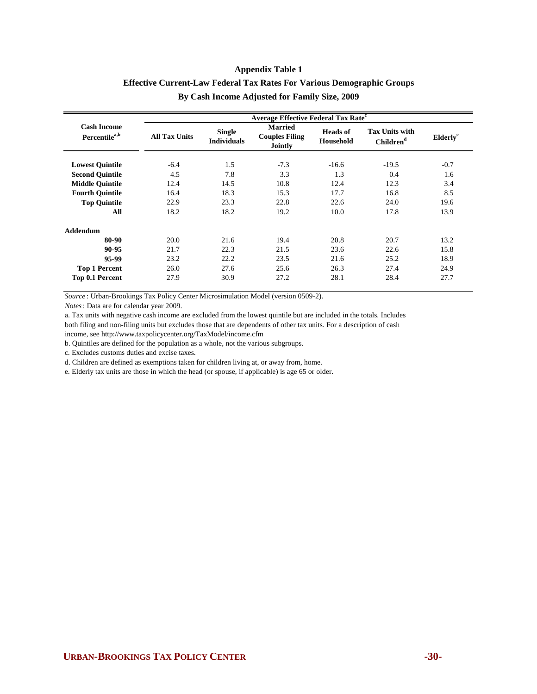# **Effective Current-Law Federal Tax Rates For Various Demographic Groups By Cash Income Adjusted for Family Size, 2009**

|                                                 | <b>Average Effective Federal Tax Rate<sup>c</sup></b> |                                     |                                                    |                                     |                                                |                      |  |  |  |
|-------------------------------------------------|-------------------------------------------------------|-------------------------------------|----------------------------------------------------|-------------------------------------|------------------------------------------------|----------------------|--|--|--|
| <b>Cash Income</b><br>Percentile <sup>a,b</sup> | <b>All Tax Units</b>                                  | <b>Single</b><br><b>Individuals</b> | <b>Married</b><br><b>Couples Filing</b><br>Jointly | <b>Heads</b> of<br><b>Household</b> | <b>Tax Units with</b><br>Children <sup>d</sup> | Elderly <sup>e</sup> |  |  |  |
| <b>Lowest Quintile</b>                          | $-6.4$                                                | 1.5                                 | $-7.3$                                             | $-16.6$                             | $-19.5$                                        | $-0.7$               |  |  |  |
| <b>Second Quintile</b>                          | 4.5                                                   | 7.8                                 | 3.3                                                | 1.3                                 | 0.4                                            | 1.6                  |  |  |  |
| <b>Middle Ouintile</b>                          | 12.4                                                  | 14.5                                | 10.8                                               | 12.4                                | 12.3                                           | 3.4                  |  |  |  |
| <b>Fourth Quintile</b>                          | 16.4                                                  | 18.3                                | 15.3                                               | 17.7                                | 16.8                                           | 8.5                  |  |  |  |
| <b>Top Quintile</b>                             | 22.9                                                  | 23.3                                | 22.8                                               | 22.6                                | 24.0                                           | 19.6                 |  |  |  |
| All                                             | 18.2                                                  | 18.2                                | 19.2                                               | 10.0                                | 17.8                                           | 13.9                 |  |  |  |
| <b>Addendum</b>                                 |                                                       |                                     |                                                    |                                     |                                                |                      |  |  |  |
| 80-90                                           | 20.0                                                  | 21.6                                | 19.4                                               | 20.8                                | 20.7                                           | 13.2                 |  |  |  |
| 90-95                                           | 21.7                                                  | 22.3                                | 21.5                                               | 23.6                                | 22.6                                           | 15.8                 |  |  |  |
| 95-99                                           | 23.2                                                  | 22.2                                | 23.5                                               | 21.6                                | 25.2                                           | 18.9                 |  |  |  |
| <b>Top 1 Percent</b>                            | 26.0                                                  | 27.6                                | 25.6                                               | 26.3                                | 27.4                                           | 24.9                 |  |  |  |
| Top 0.1 Percent                                 | 27.9                                                  | 30.9                                | 27.2                                               | 28.1                                | 28.4                                           | 27.7                 |  |  |  |

*Source* : Urban-Brookings Tax Policy Center Microsimulation Model (version 0509-2).

*Notes*: Data are for calendar year 2009.

a. Tax units with negative cash income are excluded from the lowest quintile but are included in the totals. Includes

both filing and non-filing units but excludes those that are dependents of other tax units. For a description of cash

income, see http://www.taxpolicycenter.org/TaxModel/income.cfm

b. Quintiles are defined for the population as a whole, not the various subgroups.

c. Excludes customs duties and excise taxes.

d. Children are defined as exemptions taken for children living at, or away from, home.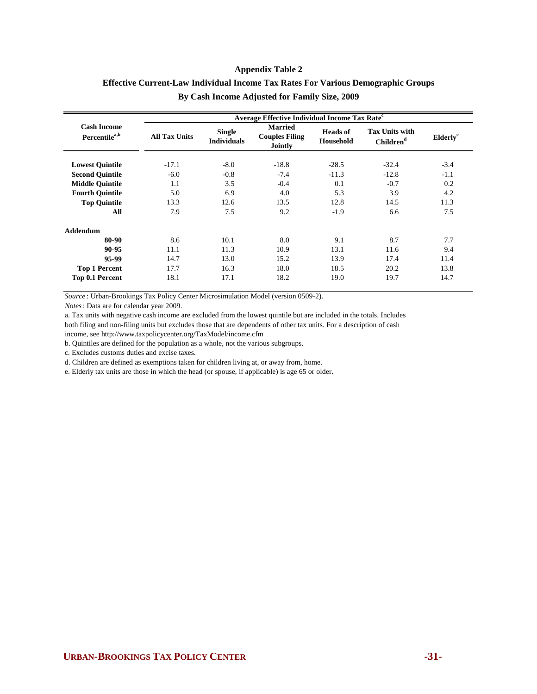# **By Cash Income Adjusted for Family Size, 2009 Effective Current-Law Individual Income Tax Rates For Various Demographic Groups**

|                                                 | Average Effective Individual Income Tax Rate <sup>c</sup> |                                     |                                                    |                                     |                                                |                      |  |  |  |
|-------------------------------------------------|-----------------------------------------------------------|-------------------------------------|----------------------------------------------------|-------------------------------------|------------------------------------------------|----------------------|--|--|--|
| <b>Cash Income</b><br>Percentile <sup>a,b</sup> | <b>All Tax Units</b>                                      | <b>Single</b><br><b>Individuals</b> | <b>Married</b><br><b>Couples Filing</b><br>Jointly | <b>Heads</b> of<br><b>Household</b> | <b>Tax Units with</b><br>Children <sup>d</sup> | Elderly <sup>e</sup> |  |  |  |
| <b>Lowest Quintile</b>                          | $-17.1$                                                   | $-8.0$                              | $-18.8$                                            | $-28.5$                             | $-32.4$                                        | $-3.4$               |  |  |  |
| <b>Second Quintile</b>                          | $-6.0$                                                    | $-0.8$                              | $-7.4$                                             | $-11.3$                             | $-12.8$                                        | $-1.1$               |  |  |  |
| <b>Middle Ouintile</b>                          | 1.1                                                       | 3.5                                 | $-0.4$                                             | 0.1                                 | $-0.7$                                         | 0.2                  |  |  |  |
| <b>Fourth Quintile</b>                          | 5.0                                                       | 6.9                                 | 4.0                                                | 5.3                                 | 3.9                                            | 4.2                  |  |  |  |
| <b>Top Quintile</b>                             | 13.3                                                      | 12.6                                | 13.5                                               | 12.8                                | 14.5                                           | 11.3                 |  |  |  |
| All                                             | 7.9                                                       | 7.5                                 | 9.2                                                | $-1.9$                              | 6.6                                            | 7.5                  |  |  |  |
| <b>Addendum</b>                                 |                                                           |                                     |                                                    |                                     |                                                |                      |  |  |  |
| 80-90                                           | 8.6                                                       | 10.1                                | 8.0                                                | 9.1                                 | 8.7                                            | 7.7                  |  |  |  |
| 90-95                                           | 11.1                                                      | 11.3                                | 10.9                                               | 13.1                                | 11.6                                           | 9.4                  |  |  |  |
| 95-99                                           | 14.7                                                      | 13.0                                | 15.2                                               | 13.9                                | 17.4                                           | 11.4                 |  |  |  |
| <b>Top 1 Percent</b>                            | 17.7                                                      | 16.3                                | 18.0                                               | 18.5                                | 20.2                                           | 13.8                 |  |  |  |
| Top 0.1 Percent                                 | 18.1                                                      | 17.1                                | 18.2                                               | 19.0                                | 19.7                                           | 14.7                 |  |  |  |

*Source* : Urban-Brookings Tax Policy Center Microsimulation Model (version 0509-2).

*Notes*: Data are for calendar year 2009.

a. Tax units with negative cash income are excluded from the lowest quintile but are included in the totals. Includes

both filing and non-filing units but excludes those that are dependents of other tax units. For a description of cash

income, see http://www.taxpolicycenter.org/TaxModel/income.cfm

b. Quintiles are defined for the population as a whole, not the various subgroups.

c. Excludes customs duties and excise taxes.

d. Children are defined as exemptions taken for children living at, or away from, home.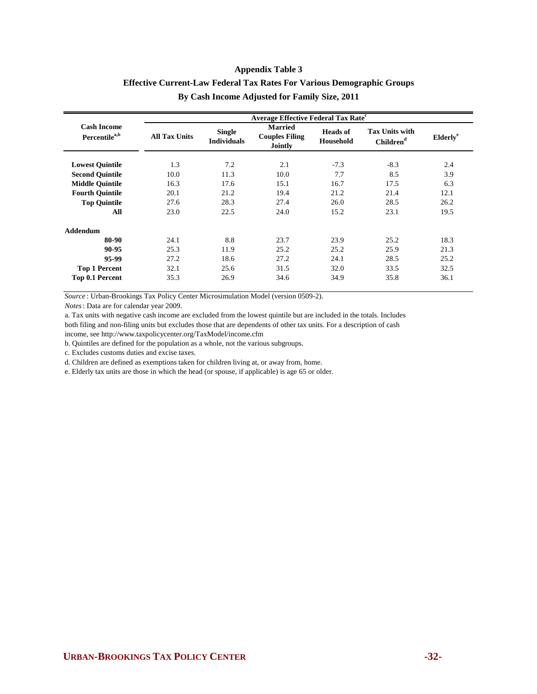# **By Cash Income Adjusted for Family Size, 2011 Effective Current-Law Federal Tax Rates For Various Demographic Groups**

|                                                 | <b>Average Effective Federal Tax Rate<sup>c</sup></b> |                                     |                                                           |                                     |                                                |                      |  |  |  |
|-------------------------------------------------|-------------------------------------------------------|-------------------------------------|-----------------------------------------------------------|-------------------------------------|------------------------------------------------|----------------------|--|--|--|
| <b>Cash Income</b><br>Percentile <sup>a,b</sup> | <b>All Tax Units</b>                                  | <b>Single</b><br><b>Individuals</b> | <b>Married</b><br><b>Couples Filing</b><br><b>Jointly</b> | <b>Heads of</b><br><b>Household</b> | <b>Tax Units with</b><br>Children <sup>d</sup> | Elderly <sup>e</sup> |  |  |  |
| <b>Lowest Quintile</b>                          | 1.3                                                   | 7.2                                 | 2.1                                                       | $-7.3$                              | $-8.3$                                         | 2.4                  |  |  |  |
| <b>Second Quintile</b>                          | 10.0                                                  | 11.3                                | 10.0                                                      | 7.7                                 | 8.5                                            | 3.9                  |  |  |  |
| <b>Middle Ouintile</b>                          | 16.3                                                  | 17.6                                | 15.1                                                      | 16.7                                | 17.5                                           | 6.3                  |  |  |  |
| <b>Fourth Quintile</b>                          | 20.1                                                  | 21.2                                | 19.4                                                      | 21.2                                | 21.4                                           | 12.1                 |  |  |  |
| <b>Top Quintile</b>                             | 27.6                                                  | 28.3                                | 27.4                                                      | 26.0                                | 28.5                                           | 26.2                 |  |  |  |
| All                                             | 23.0                                                  | 22.5                                | 24.0                                                      | 15.2                                | 23.1                                           | 19.5                 |  |  |  |
| <b>Addendum</b>                                 |                                                       |                                     |                                                           |                                     |                                                |                      |  |  |  |
| 80-90                                           | 24.1                                                  | 8.8                                 | 23.7                                                      | 23.9                                | 25.2                                           | 18.3                 |  |  |  |
| 90-95                                           | 25.3                                                  | 11.9                                | 25.2                                                      | 25.2                                | 25.9                                           | 21.3                 |  |  |  |
| 95-99                                           | 27.2                                                  | 18.6                                | 27.2                                                      | 24.1                                | 28.5                                           | 25.2                 |  |  |  |
| <b>Top 1 Percent</b>                            | 32.1                                                  | 25.6                                | 31.5                                                      | 32.0                                | 33.5                                           | 32.5                 |  |  |  |
| Top 0.1 Percent                                 | 35.3                                                  | 26.9                                | 34.6                                                      | 34.9                                | 35.8                                           | 36.1                 |  |  |  |

*Source* : Urban-Brookings Tax Policy Center Microsimulation Model (version 0509-2).

*Notes*: Data are for calendar year 2009.

a. Tax units with negative cash income are excluded from the lowest quintile but are included in the totals. Includes

both filing and non-filing units but excludes those that are dependents of other tax units. For a description of cash income, see http://www.taxpolicycenter.org/TaxModel/income.cfm

b. Quintiles are defined for the population as a whole, not the various subgroups.

c. Excludes customs duties and excise taxes.

d. Children are defined as exemptions taken for children living at, or away from, home.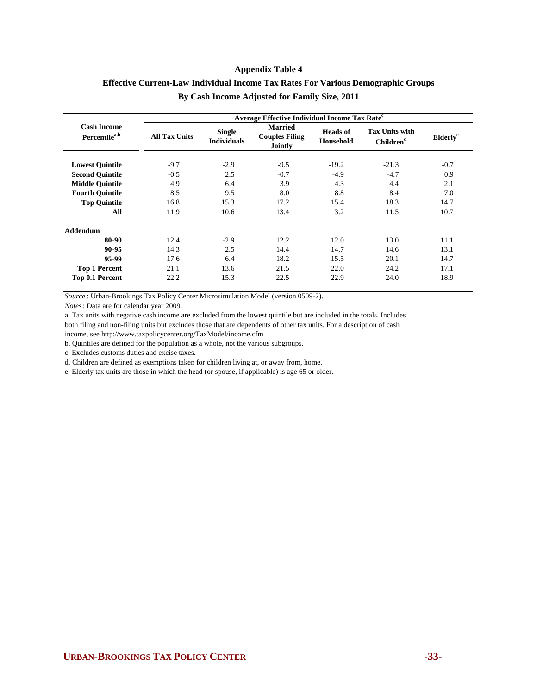# **By Cash Income Adjusted for Family Size, 2011 Effective Current-Law Individual Income Tax Rates For Various Demographic Groups**

|                                                 | Average Effective Individual Income Tax Rate <sup>c</sup> |                                     |                                                           |                                     |                                                |                             |  |  |  |
|-------------------------------------------------|-----------------------------------------------------------|-------------------------------------|-----------------------------------------------------------|-------------------------------------|------------------------------------------------|-----------------------------|--|--|--|
| <b>Cash Income</b><br>Percentile <sup>a,b</sup> | <b>All Tax Units</b>                                      | <b>Single</b><br><b>Individuals</b> | <b>Married</b><br><b>Couples Filing</b><br><b>Jointly</b> | <b>Heads</b> of<br><b>Household</b> | <b>Tax Units with</b><br>Children <sup>d</sup> | <b>Elderly</b> <sup>e</sup> |  |  |  |
| <b>Lowest Quintile</b>                          | $-9.7$                                                    | $-2.9$                              | $-9.5$                                                    | $-19.2$                             | $-21.3$                                        | $-0.7$                      |  |  |  |
| <b>Second Quintile</b>                          | $-0.5$                                                    | 2.5                                 | $-0.7$                                                    | $-4.9$                              | $-4.7$                                         | 0.9                         |  |  |  |
| <b>Middle Ouintile</b>                          | 4.9                                                       | 6.4                                 | 3.9                                                       | 4.3                                 | 4.4                                            | 2.1                         |  |  |  |
| <b>Fourth Ouintile</b>                          | 8.5                                                       | 9.5                                 | 8.0                                                       | 8.8                                 | 8.4                                            | 7.0                         |  |  |  |
| <b>Top Quintile</b>                             | 16.8                                                      | 15.3                                | 17.2                                                      | 15.4                                | 18.3                                           | 14.7                        |  |  |  |
| All                                             | 11.9                                                      | 10.6                                | 13.4                                                      | 3.2                                 | 11.5                                           | 10.7                        |  |  |  |
| Addendum                                        |                                                           |                                     |                                                           |                                     |                                                |                             |  |  |  |
| 80-90                                           | 12.4                                                      | $-2.9$                              | 12.2                                                      | 12.0                                | 13.0                                           | 11.1                        |  |  |  |
| 90-95                                           | 14.3                                                      | 2.5                                 | 14.4                                                      | 14.7                                | 14.6                                           | 13.1                        |  |  |  |
| 95-99                                           | 17.6                                                      | 6.4                                 | 18.2                                                      | 15.5                                | 20.1                                           | 14.7                        |  |  |  |
| <b>Top 1 Percent</b>                            | 21.1                                                      | 13.6                                | 21.5                                                      | 22.0                                | 24.2                                           | 17.1                        |  |  |  |
| Top 0.1 Percent                                 | 22.2                                                      | 15.3                                | 22.5                                                      | 22.9                                | 24.0                                           | 18.9                        |  |  |  |

*Source* : Urban-Brookings Tax Policy Center Microsimulation Model (version 0509-2).

*Notes*: Data are for calendar year 2009.

a. Tax units with negative cash income are excluded from the lowest quintile but are included in the totals. Includes

both filing and non-filing units but excludes those that are dependents of other tax units. For a description of cash

income, see http://www.taxpolicycenter.org/TaxModel/income.cfm

b. Quintiles are defined for the population as a whole, not the various subgroups.

c. Excludes customs duties and excise taxes.

d. Children are defined as exemptions taken for children living at, or away from, home.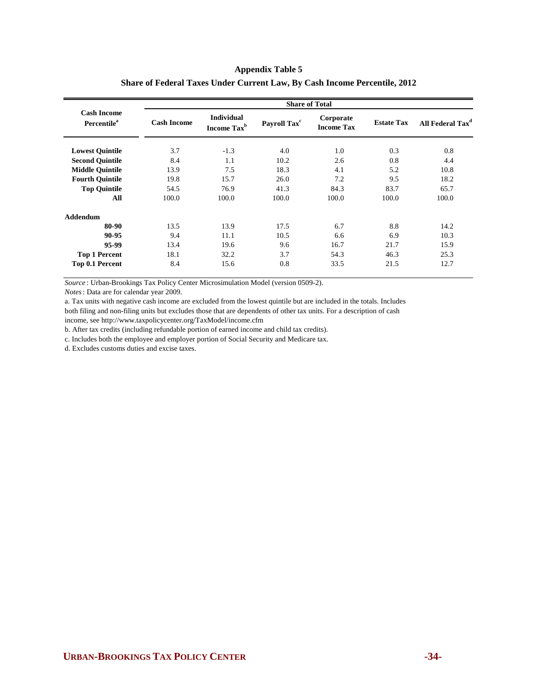|                                               | <b>Share of Total</b> |                                              |                          |                                |                   |                              |  |  |
|-----------------------------------------------|-----------------------|----------------------------------------------|--------------------------|--------------------------------|-------------------|------------------------------|--|--|
| <b>Cash Income</b><br>Percentile <sup>a</sup> | <b>Cash Income</b>    | <b>Individual</b><br>Income Tax <sup>b</sup> | Payroll Tax <sup>c</sup> | Corporate<br><b>Income Tax</b> | <b>Estate Tax</b> | All Federal Tax <sup>d</sup> |  |  |
| <b>Lowest Quintile</b>                        | 3.7                   | $-1.3$                                       | 4.0                      | 1.0                            | 0.3               | 0.8                          |  |  |
| <b>Second Quintile</b>                        | 8.4                   | 1.1                                          | 10.2                     | 2.6                            | 0.8               | 4.4                          |  |  |
| <b>Middle Ouintile</b>                        | 13.9                  | 7.5                                          | 18.3                     | 4.1                            | 5.2               | 10.8                         |  |  |
| <b>Fourth Quintile</b>                        | 19.8                  | 15.7                                         | 26.0                     | 7.2                            | 9.5               | 18.2                         |  |  |
| <b>Top Quintile</b>                           | 54.5                  | 76.9                                         | 41.3                     | 84.3                           | 83.7              | 65.7                         |  |  |
| All                                           | 100.0                 | 100.0                                        | 100.0                    | 100.0                          | 100.0             | 100.0                        |  |  |
| Addendum                                      |                       |                                              |                          |                                |                   |                              |  |  |
| 80-90                                         | 13.5                  | 13.9                                         | 17.5                     | 6.7                            | 8.8               | 14.2                         |  |  |
| 90-95                                         | 9.4                   | 11.1                                         | 10.5                     | 6.6                            | 6.9               | 10.3                         |  |  |
| 95-99                                         | 13.4                  | 19.6                                         | 9.6                      | 16.7                           | 21.7              | 15.9                         |  |  |
| <b>Top 1 Percent</b>                          | 18.1                  | 32.2                                         | 3.7                      | 54.3                           | 46.3              | 25.3                         |  |  |
| Top 0.1 Percent                               | 8.4                   | 15.6                                         | 0.8                      | 33.5                           | 21.5              | 12.7                         |  |  |

#### **Share of Federal Taxes Under Current Law, By Cash Income Percentile, 2012**

*Source* : Urban-Brookings Tax Policy Center Microsimulation Model (version 0509-2).

*Notes*: Data are for calendar year 2009.

a. Tax units with negative cash income are excluded from the lowest quintile but are included in the totals. Includes

both filing and non-filing units but excludes those that are dependents of other tax units. For a description of cash income, see http://www.taxpolicycenter.org/TaxModel/income.cfm

b. After tax credits (including refundable portion of earned income and child tax credits).

c. Includes both the employee and employer portion of Social Security and Medicare tax.

d. Excludes customs duties and excise taxes.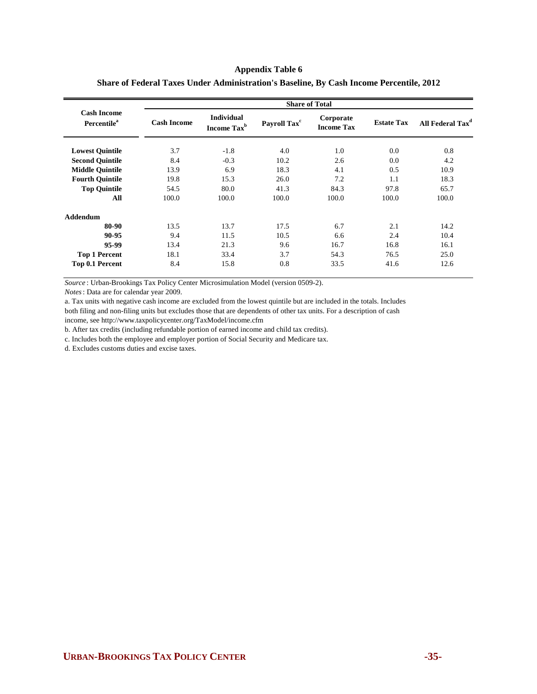|                                                      | <b>Share of Total</b> |                                              |                          |                                |                   |                              |  |  |
|------------------------------------------------------|-----------------------|----------------------------------------------|--------------------------|--------------------------------|-------------------|------------------------------|--|--|
| <b>Cash Income</b><br><b>Percentile</b> <sup>a</sup> | <b>Cash Income</b>    | <b>Individual</b><br>Income Tax <sup>b</sup> | Payroll Tax <sup>c</sup> | Corporate<br><b>Income Tax</b> | <b>Estate Tax</b> | All Federal Tax <sup>d</sup> |  |  |
| <b>Lowest Quintile</b>                               | 3.7                   | $-1.8$                                       | 4.0                      | 1.0                            | 0.0               | 0.8                          |  |  |
| <b>Second Quintile</b>                               | 8.4                   | $-0.3$                                       | 10.2                     | 2.6                            | 0.0               | 4.2                          |  |  |
| <b>Middle Quintile</b>                               | 13.9                  | 6.9                                          | 18.3                     | 4.1                            | 0.5               | 10.9                         |  |  |
| <b>Fourth Quintile</b>                               | 19.8                  | 15.3                                         | 26.0                     | 7.2                            | 1.1               | 18.3                         |  |  |
| <b>Top Quintile</b>                                  | 54.5                  | 80.0                                         | 41.3                     | 84.3                           | 97.8              | 65.7                         |  |  |
| All                                                  | 100.0                 | 100.0                                        | 100.0                    | 100.0                          | 100.0             | 100.0                        |  |  |
| Addendum                                             |                       |                                              |                          |                                |                   |                              |  |  |
| 80-90                                                | 13.5                  | 13.7                                         | 17.5                     | 6.7                            | 2.1               | 14.2                         |  |  |
| 90-95                                                | 9.4                   | 11.5                                         | 10.5                     | 6.6                            | 2.4               | 10.4                         |  |  |
| 95-99                                                | 13.4                  | 21.3                                         | 9.6                      | 16.7                           | 16.8              | 16.1                         |  |  |
| <b>Top 1 Percent</b>                                 | 18.1                  | 33.4                                         | 3.7                      | 54.3                           | 76.5              | 25.0                         |  |  |
| Top 0.1 Percent                                      | 8.4                   | 15.8                                         | 0.8                      | 33.5                           | 41.6              | 12.6                         |  |  |

#### **Share of Federal Taxes Under Administration's Baseline, By Cash Income Percentile, 2012**

*Source* : Urban-Brookings Tax Policy Center Microsimulation Model (version 0509-2).

*Notes*: Data are for calendar year 2009.

a. Tax units with negative cash income are excluded from the lowest quintile but are included in the totals. Includes

both filing and non-filing units but excludes those that are dependents of other tax units. For a description of cash

income, see http://www.taxpolicycenter.org/TaxModel/income.cfm

b. After tax credits (including refundable portion of earned income and child tax credits).

c. Includes both the employee and employer portion of Social Security and Medicare tax.

d. Excludes customs duties and excise taxes.